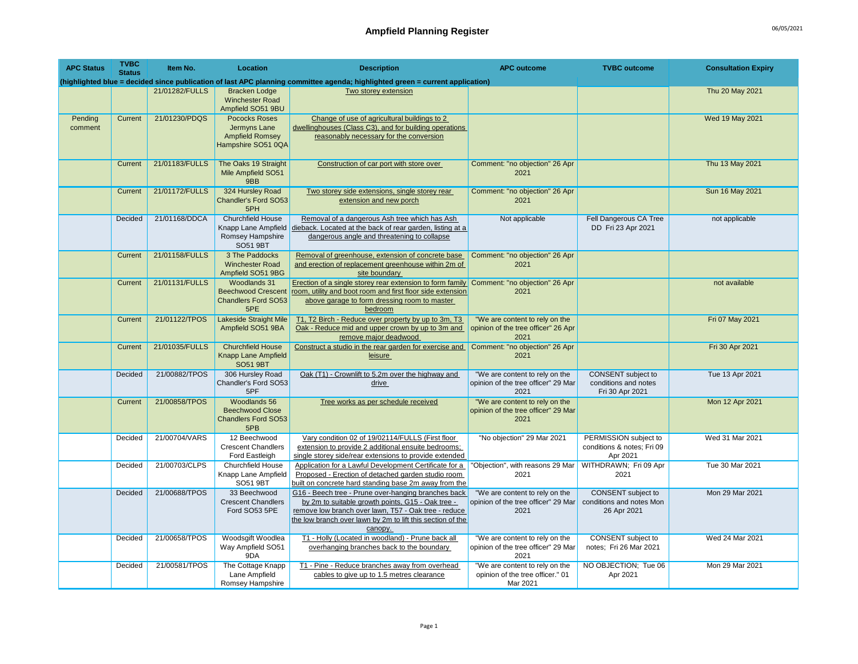| <b>APC Status</b>  | <b>TVBC</b><br><b>Status</b> | Item No.       | Location                                                                             | <b>Description</b>                                                                                                                                                                                                                        | <b>APC outcome</b>                                                             | <b>TVBC</b> outcome                                             | <b>Consultation Expiry</b> |
|--------------------|------------------------------|----------------|--------------------------------------------------------------------------------------|-------------------------------------------------------------------------------------------------------------------------------------------------------------------------------------------------------------------------------------------|--------------------------------------------------------------------------------|-----------------------------------------------------------------|----------------------------|
|                    |                              |                |                                                                                      | (highlighted blue = decided since publication of last APC planning committee agenda; highlighted green = current application)                                                                                                             |                                                                                |                                                                 |                            |
|                    |                              | 21/01282/FULLS | <b>Bracken Lodge</b><br><b>Winchester Road</b><br>Ampfield SO51 9BU                  | Two storey extension                                                                                                                                                                                                                      |                                                                                |                                                                 | Thu 20 May 2021            |
| Pending<br>comment | Current                      | 21/01230/PDQS  | <b>Pococks Roses</b><br>Jermyns Lane<br><b>Ampfield Romsey</b><br>Hampshire SO51 0QA | Change of use of agricultural buildings to 2<br>dwellinghouses (Class C3), and for building operations<br>reasonably necessary for the conversion                                                                                         |                                                                                |                                                                 | Wed 19 May 2021            |
|                    | Current                      | 21/01183/FULLS | The Oaks 19 Straight<br>Mile Ampfield SO51<br>9BB                                    | Construction of car port with store over                                                                                                                                                                                                  | Comment: "no objection" 26 Apr<br>2021                                         |                                                                 | Thu 13 May 2021            |
|                    | Current                      | 21/01172/FULLS | 324 Hursley Road<br>Chandler's Ford SO53<br>5PH                                      | Two storey side extensions, single storey rear<br>extension and new porch                                                                                                                                                                 | Comment: "no objection" 26 Apr<br>2021                                         |                                                                 | Sun 16 May 2021            |
|                    | Decided                      | 21/01168/DDCA  | <b>Churchfield House</b><br>Knapp Lane Ampfield<br>Romsey Hampshire<br>SO51 9BT      | Removal of a dangerous Ash tree which has Ash<br>dieback. Located at the back of rear garden, listing at a<br>dangerous angle and threatening to collapse                                                                                 | Not applicable                                                                 | Fell Dangerous CA Tree<br>DD Fri 23 Apr 2021                    | not applicable             |
|                    | Current                      | 21/01158/FULLS | 3 The Paddocks<br><b>Winchester Road</b><br>Ampfield SO51 9BG                        | Removal of greenhouse, extension of concrete base<br>and erection of replacement greenhouse within 2m of<br>site boundary                                                                                                                 | Comment: "no objection" 26 Apr<br>2021                                         |                                                                 |                            |
|                    | Current                      | 21/01131/FULLS | Woodlands 31<br><b>Beechwood Crescent</b><br>Chandlers Ford SO53<br>5PE              | Erection of a single storey rear extension to form family Comment: "no objection" 26 Apr<br>room, utility and boot room and first floor side extension<br>above garage to form dressing room to master<br>bedroom                         | 2021                                                                           |                                                                 | not available              |
|                    | Current                      | 21/01122/TPOS  | Lakeside Straight Mile<br>Ampfield SO51 9BA                                          | T1, T2 Birch - Reduce over property by up to 3m, T3<br>Oak - Reduce mid and upper crown by up to 3m and<br>remove major deadwood                                                                                                          | "We are content to rely on the<br>opinion of the tree officer" 26 Apr<br>2021  |                                                                 | Fri 07 May 2021            |
|                    | Current                      | 21/01035/FULLS | <b>Churchfield House</b><br><b>Knapp Lane Ampfield</b><br><b>SO51 9BT</b>            | Construct a studio in the rear garden for exercise and<br>leisure                                                                                                                                                                         | Comment: "no objection" 26 Apr<br>2021                                         |                                                                 | Fri 30 Apr 2021            |
|                    | Decided                      | 21/00882/TPOS  | 306 Hursley Road<br>Chandler's Ford SO53<br>5PF                                      | Oak (T1) - Crownlift to 5.2m over the highway and<br>drive                                                                                                                                                                                | "We are content to rely on the<br>opinion of the tree officer" 29 Mar<br>2021  | CONSENT subject to<br>conditions and notes<br>Fri 30 Apr 2021   | Tue 13 Apr 2021            |
|                    | Current                      | 21/00858/TPOS  | Woodlands 56<br><b>Beechwood Close</b><br><b>Chandlers Ford SO53</b><br>5PB          | Tree works as per schedule received                                                                                                                                                                                                       | "We are content to rely on the<br>opinion of the tree officer" 29 Mar<br>2021  |                                                                 | Mon 12 Apr 2021            |
|                    | Decided                      | 21/00704/VARS  | 12 Beechwood<br><b>Crescent Chandlers</b><br>Ford Eastleigh                          | Vary condition 02 of 19/02114/FULLS (First floor<br>extension to provide 2 additional ensuite bedrooms;<br>single storey side/rear extensions to provide extended                                                                         | "No objection" 29 Mar 2021                                                     | PERMISSION subject to<br>conditions & notes; Fri 09<br>Apr 2021 | Wed 31 Mar 2021            |
|                    | Decided                      | 21/00703/CLPS  | Churchfield House<br>Knapp Lane Ampfield<br>SO51 9BT                                 | Application for a Lawful Development Certificate for a<br>Proposed - Erection of detached garden studio room<br>built on concrete hard standing base 2m away from the                                                                     | "Objection", with reasons 29 Mar<br>2021                                       | WITHDRAWN; Fri 09 Apr<br>2021                                   | Tue 30 Mar 2021            |
|                    | Decided                      | 21/00688/TPOS  | 33 Beechwood<br><b>Crescent Chandlers</b><br>Ford SO53 5PE                           | G16 - Beech tree - Prune over-hanging branches back<br>by 2m to suitable growth points, G15 - Oak tree -<br>remove low branch over lawn, T57 - Oak tree - reduce<br>the low branch over lawn by 2m to lift this section of the<br>canopy. | "We are content to rely on the<br>opinion of the tree officer" 29 Mar<br>2021  | CONSENT subject to<br>conditions and notes Mon<br>26 Apr 2021   | Mon 29 Mar 2021            |
|                    | Decided                      | 21/00658/TPOS  | Woodsgift Woodlea<br>Way Ampfield SO51<br>9DA                                        | T1 - Holly (Located in woodland) - Prune back all<br>overhanging branches back to the boundary                                                                                                                                            | "We are content to rely on the<br>opinion of the tree officer" 29 Mar<br>2021  | CONSENT subject to<br>notes; Fri 26 Mar 2021                    | Wed 24 Mar 2021            |
|                    | Decided                      | 21/00581/TPOS  | The Cottage Knapp<br>Lane Ampfield<br>Romsey Hampshire                               | T1 - Pine - Reduce branches away from overhead<br>cables to give up to 1.5 metres clearance                                                                                                                                               | "We are content to rely on the<br>opinion of the tree officer." 01<br>Mar 2021 | NO OBJECTION; Tue 06<br>Apr 2021                                | Mon 29 Mar 2021            |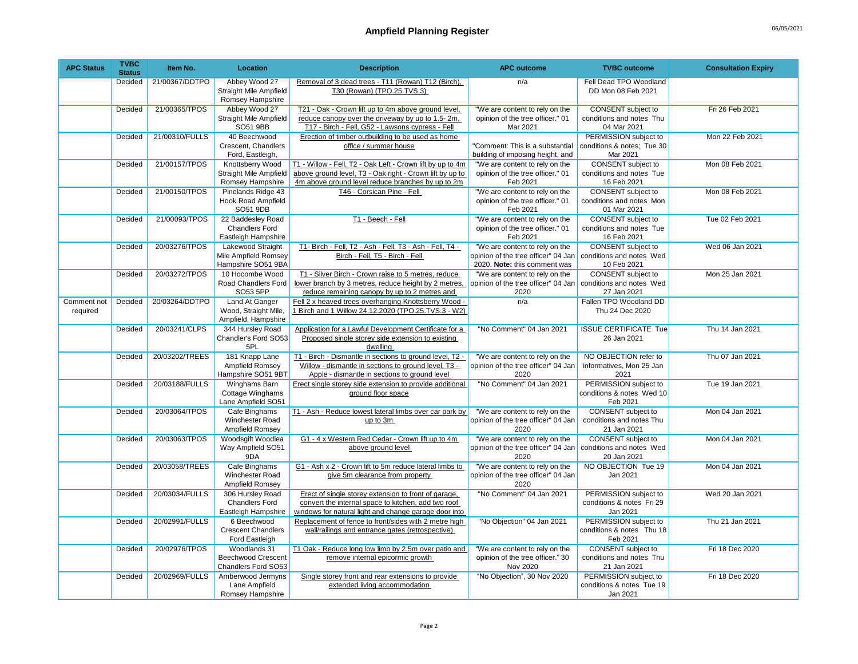| <b>APC Status</b>       | <b>TVBC</b><br><b>Status</b> | Item No.       | Location                                                               | <b>Description</b>                                                                                                                                                          | <b>APC outcome</b>                                                                                    | <b>TVBC</b> outcome                                                  | <b>Consultation Expiry</b> |
|-------------------------|------------------------------|----------------|------------------------------------------------------------------------|-----------------------------------------------------------------------------------------------------------------------------------------------------------------------------|-------------------------------------------------------------------------------------------------------|----------------------------------------------------------------------|----------------------------|
|                         | Decided                      | 21/00367/DDTPO | Abbey Wood 27<br><b>Straight Mile Ampfield</b><br>Romsey Hampshire     | Removal of 3 dead trees - T11 (Rowan) T12 (Birch),<br>T30 (Rowan) (TPO.25.TVS.3)                                                                                            | n/a                                                                                                   | Fell Dead TPO Woodland<br>DD Mon 08 Feb 2021                         |                            |
|                         | Decided                      | 21/00365/TPOS  | Abbey Wood 27<br><b>Straight Mile Ampfield</b><br>SO51 9BB             | T21 - Oak - Crown lift up to 4m above ground level,<br>reduce canopy over the driveway by up to 1.5-2m,<br>T17 - Birch - Fell, G52 - Lawsons cypress - Fell                 | "We are content to rely on the<br>opinion of the tree officer." 01<br>Mar 2021                        | CONSENT subject to<br>conditions and notes Thu<br>04 Mar 2021        | Fri 26 Feb 2021            |
|                         | Decided                      | 21/00310/FULLS | 40 Beechwood<br>Crescent, Chandlers<br>Ford, Eastleigh,                | Erection of timber outbuilding to be used as home<br>office / summer house                                                                                                  | "Comment: This is a substantial<br>building of imposing height, and                                   | PERMISSION subject to<br>conditions & notes; Tue 30<br>Mar 2021      | Mon 22 Feb 2021            |
|                         | Decided                      | 21/00157/TPOS  | Knottsberry Wood<br>Straight Mile Ampfield<br>Romsey Hampshire         | T1 - Willow - Fell, T2 - Oak Left - Crown lift by up to 4m<br>above ground level, T3 - Oak right - Crown lift by up to<br>4m above ground level reduce branches by up to 2m | "We are content to rely on the<br>opinion of the tree officer." 01<br>Feb 2021                        | <b>CONSENT</b> subject to<br>conditions and notes Tue<br>16 Feb 2021 | Mon 08 Feb 2021            |
|                         | Decided                      | 21/00150/TPOS  | Pinelands Ridge 43<br><b>Hook Road Ampfield</b><br>SO51 9DB            | T46 - Corsican Pine - Fell                                                                                                                                                  | "We are content to rely on the<br>opinion of the tree officer." 01<br>Feb 2021                        | <b>CONSENT</b> subject to<br>conditions and notes Mon<br>01 Mar 2021 | Mon 08 Feb 2021            |
|                         | Decided                      | 21/00093/TPOS  | 22 Baddesley Road<br><b>Chandlers Ford</b><br>Eastleigh Hampshire      | T1 - Beech - Fell                                                                                                                                                           | "We are content to rely on the<br>opinion of the tree officer." 01<br>Feb 2021                        | CONSENT subject to<br>conditions and notes Tue<br>16 Feb 2021        | Tue 02 Feb 2021            |
|                         | Decided                      | 20/03276/TPOS  | <b>Lakewood Straight</b><br>Mile Ampfield Romsey<br>Hampshire SO51 9BA | T1- Birch - Fell, T2 - Ash - Fell, T3 - Ash - Fell, T4 -<br>Birch - Fell, T5 - Birch - Fell                                                                                 | "We are content to rely on the<br>opinion of the tree officer" 04 Jan<br>2020. Note: this comment was | CONSENT subject to<br>conditions and notes Wed<br>10 Feb 2021        | Wed 06 Jan 2021            |
|                         | Decided                      | 20/03272/TPOS  | 10 Hocombe Wood<br>Road Chandlers Ford<br>SO53 5PP                     | T1 - Silver Birch - Crown raise to 5 metres, reduce<br>lower branch by 3 metres, reduce height by 2 metres.<br>reduce remaining canopy by up to 2 metres and                | "We are content to rely on the<br>opinion of the tree officer" 04 Jan<br>2020                         | <b>CONSENT</b> subject to<br>conditions and notes Wed<br>27 Jan 2021 | Mon 25 Jan 2021            |
| Comment not<br>required | Decided                      | 20/03264/DDTPO | Land At Ganger<br>Wood, Straight Mile,<br>Ampfield, Hampshire          | Fell 2 x heaved trees overhanging Knottsberry Wood -<br>1 Birch and 1 Willow 24.12.2020 (TPO.25.TVS.3 - W2)                                                                 | n/a                                                                                                   | Fallen TPO Woodland DD<br>Thu 24 Dec 2020                            |                            |
|                         | Decided                      | 20/03241/CLPS  | 344 Hursley Road<br>Chandler's Ford SO53<br>5PL                        | Application for a Lawful Development Certificate for a<br>Proposed single storey side extension to existing<br>dwelling                                                     | "No Comment" 04 Jan 2021                                                                              | <b>ISSUE CERTIFICATE Tue</b><br>26 Jan 2021                          | Thu 14 Jan 2021            |
|                         | Decided                      | 20/03202/TREES | 181 Knapp Lane<br>Ampfield Romsey<br>Hampshire SO51 9BT                | T1 - Birch - Dismantle in sections to ground level, T2 -<br>Willow - dismantle in sections to ground level, T3 -<br>Apple - dismantle in sections to ground level           | "We are content to rely on the<br>opinion of the tree officer" 04 Jan<br>2020                         | NO OBJECTION refer to<br>informatives, Mon 25 Jan<br>2021            | Thu 07 Jan 2021            |
|                         | Decided                      | 20/03188/FULLS | Winghams Barn<br>Cottage Winghams<br>Lane Ampfield SO51                | Erect single storey side extension to provide additional<br>ground floor space                                                                                              | "No Comment" 04 Jan 2021                                                                              | PERMISSION subject to<br>conditions & notes Wed 10<br>Feb 2021       | Tue 19 Jan 2021            |
|                         | Decided                      | 20/03064/TPOS  | Cafe Binghams<br>Winchester Road<br>Ampfield Romsey                    | T1 - Ash - Reduce lowest lateral limbs over car park by<br>up to 3m                                                                                                         | "We are content to rely on the<br>opinion of the tree officer" 04 Jan<br>2020                         | <b>CONSENT</b> subject to<br>conditions and notes Thu<br>21 Jan 2021 | Mon 04 Jan 2021            |
|                         | Decided                      | 20/03063/TPOS  | Woodsgift Woodlea<br>Way Ampfield SO51<br>9DA                          | G1 - 4 x Western Red Cedar - Crown lift up to 4m<br>above ground level                                                                                                      | "We are content to rely on the<br>opinion of the tree officer" 04 Jan<br>2020                         | <b>CONSENT</b> subject to<br>conditions and notes Wed<br>20 Jan 2021 | Mon 04 Jan 2021            |
|                         | Decided                      | 20/03058/TREES | Cafe Binghams<br>Winchester Road<br>Ampfield Romsey                    | G1 - Ash x 2 - Crown lift to 5m reduce lateral limbs to<br>give 5m clearance from property                                                                                  | "We are content to rely on the<br>opinion of the tree officer" 04 Jan<br>2020                         | NO OBJECTION Tue 19<br>Jan 2021                                      | Mon 04 Jan 2021            |
|                         | Decided                      | 20/03034/FULLS | 306 Hursley Road<br><b>Chandlers Ford</b><br>Eastleigh Hampshire       | Erect of single storey extension to front of garage,<br>convert the internal space to kitchen, add two roof<br>windows for natural light and change garage door into        | "No Comment" 04 Jan 2021                                                                              | PERMISSION subject to<br>conditions & notes Fri 29<br>Jan 2021       | Wed 20 Jan 2021            |
|                         | Decided                      | 20/02991/FULLS | 6 Beechwood<br><b>Crescent Chandlers</b><br>Ford Eastleigh             | Replacement of fence to front/sides with 2 metre high<br>wall/railings and entrance gates (retrospective)                                                                   | "No Objection" 04 Jan 2021                                                                            | PERMISSION subject to<br>conditions & notes Thu 18<br>Feb 2021       | Thu 21 Jan 2021            |
|                         | Decided                      | 20/02976/TPOS  | Woodlands 31<br><b>Beechwood Crescent</b><br>Chandlers Ford SO53       | T1 Oak - Reduce long low limb by 2.5m over patio and<br>remove internal epicormic growth                                                                                    | "We are content to rely on the<br>opinion of the tree officer." 30<br>Nov 2020                        | CONSENT subject to<br>conditions and notes Thu<br>21 Jan 2021        | Fri 18 Dec 2020            |
|                         | Decided                      | 20/02969/FULLS | Amberwood Jermyns<br>Lane Ampfield<br>Romsey Hampshire                 | Single storey front and rear extensions to provide<br>extended living accommodation                                                                                         | "No Objection", 30 Nov 2020                                                                           | PERMISSION subject to<br>conditions & notes Tue 19<br>Jan 2021       | Fri 18 Dec 2020            |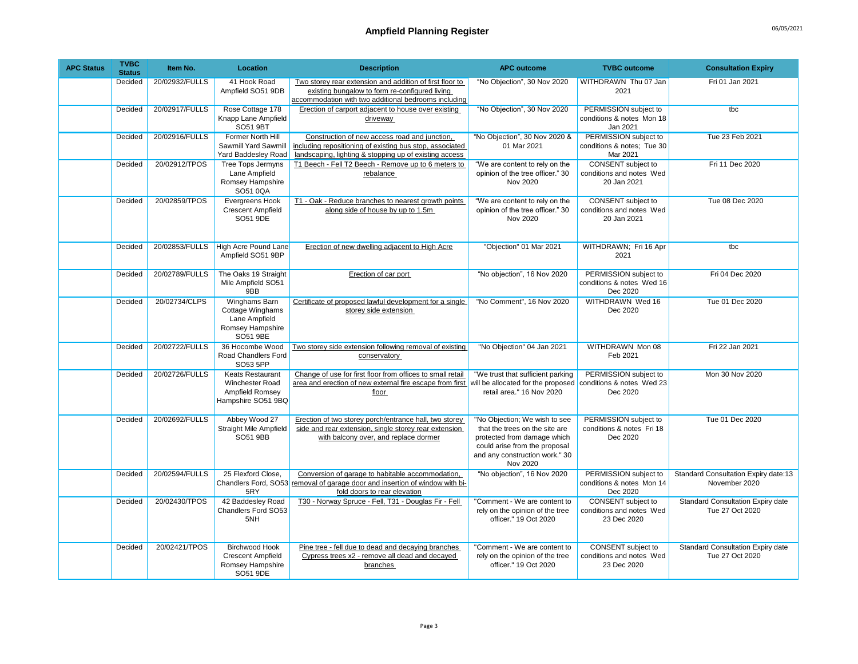| <b>APC Status</b> | <b>TVBC</b><br><b>Status</b> | Item No.       | Location                                                                            | <b>Description</b>                                                                                                                                                  | <b>APC outcome</b>                                                                                                                                                            | <b>TVBC</b> outcome                                                  | <b>Consultation Expiry</b>                                  |
|-------------------|------------------------------|----------------|-------------------------------------------------------------------------------------|---------------------------------------------------------------------------------------------------------------------------------------------------------------------|-------------------------------------------------------------------------------------------------------------------------------------------------------------------------------|----------------------------------------------------------------------|-------------------------------------------------------------|
|                   | Decided                      | 20/02932/FULLS | 41 Hook Road<br>Ampfield SO51 9DB                                                   | Two storey rear extension and addition of first floor to<br>existing bungalow to form re-configured living<br>accommodation with two additional bedrooms including  | "No Objection", 30 Nov 2020                                                                                                                                                   | WITHDRAWN Thu 07 Jan<br>2021                                         | Fri 01 Jan 2021                                             |
|                   | Decided                      | 20/02917/FULLS | Rose Cottage 178<br>Knapp Lane Ampfield<br>SO51 9BT                                 | Erection of carport adjacent to house over existing<br>driveway                                                                                                     | "No Objection", 30 Nov 2020                                                                                                                                                   | PERMISSION subject to<br>conditions & notes Mon 18<br>Jan 2021       | tbc                                                         |
|                   | Decided                      | 20/02916/FULLS | Former North Hill<br>Sawmill Yard Sawmill<br>Yard Baddesley Road                    | Construction of new access road and junction.<br>including repositioning of existing bus stop, associated<br>landscaping, lighting & stopping up of existing access | "No Objection", 30 Nov 2020 &<br>01 Mar 2021                                                                                                                                  | PERMISSION subject to<br>conditions & notes; Tue 30<br>Mar 2021      | Tue 23 Feb 2021                                             |
|                   | Decided                      | 20/02912/TPOS  | Tree Tops Jermyns<br>Lane Ampfield<br>Romsey Hampshire<br>SO51 0QA                  | T1 Beech - Fell T2 Beech - Remove up to 6 meters to<br>rebalance                                                                                                    | "We are content to rely on the<br>opinion of the tree officer." 30<br>Nov 2020                                                                                                | CONSENT subject to<br>conditions and notes Wed<br>20 Jan 2021        | Fri 11 Dec 2020                                             |
|                   | Decided                      | 20/02859/TPOS  | Evergreens Hook<br><b>Crescent Ampfield</b><br>SO51 9DE                             | T1 - Oak - Reduce branches to nearest growth points<br>along side of house by up to 1.5m                                                                            | "We are content to rely on the<br>opinion of the tree officer." 30<br>Nov 2020                                                                                                | <b>CONSENT</b> subject to<br>conditions and notes Wed<br>20 Jan 2021 | Tue 08 Dec 2020                                             |
|                   | Decided                      | 20/02853/FULLS | <b>High Acre Pound Lane</b><br>Ampfield SO51 9BP                                    | Erection of new dwelling adjacent to High Acre                                                                                                                      | "Objection" 01 Mar 2021                                                                                                                                                       | WITHDRAWN; Fri 16 Apr<br>2021                                        | thc                                                         |
|                   | Decided                      | 20/02789/FULLS | The Oaks 19 Straight<br>Mile Ampfield SO51<br>9BB                                   | Erection of car port                                                                                                                                                | "No objection", 16 Nov 2020                                                                                                                                                   | PERMISSION subject to<br>conditions & notes Wed 16<br>Dec 2020       | Fri 04 Dec 2020                                             |
|                   | Decided                      | 20/02734/CLPS  | Winghams Barn<br>Cottage Winghams<br>Lane Ampfield<br>Romsey Hampshire<br>SO51 9BE  | Certificate of proposed lawful development for a single<br>storey side extension                                                                                    | "No Comment", 16 Nov 2020                                                                                                                                                     | WITHDRAWN Wed 16<br>Dec 2020                                         | Tue 01 Dec 2020                                             |
|                   | Decided                      | 20/02722/FULLS | 36 Hocombe Wood<br>Road Chandlers Ford<br>SO53 5PP                                  | Two storey side extension following removal of existing<br>conservatory                                                                                             | "No Objection" 04 Jan 2021                                                                                                                                                    | WITHDRAWN Mon 08<br>Feb 2021                                         | Fri 22 Jan 2021                                             |
|                   | Decided                      | 20/02726/FULLS | <b>Keats Restaurant</b><br>Winchester Road<br>Ampfield Romsey<br>Hampshire SO51 9BQ | Change of use for first floor from offices to small retail<br>area and erection of new external fire escape from first<br>floor                                     | "We trust that sufficient parking<br>will be allocated for the proposed<br>retail area." 16 Nov 2020                                                                          | PERMISSION subject to<br>conditions & notes Wed 23<br>Dec 2020       | Mon 30 Nov 2020                                             |
|                   | Decided                      | 20/02692/FULLS | Abbey Wood 27<br><b>Straight Mile Ampfield</b><br>SO51 9BB                          | Erection of two storey porch/entrance hall, two storey<br>side and rear extension, single storey rear extension<br>with balcony over, and replace dormer            | "No Objection; We wish to see<br>that the trees on the site are<br>protected from damage which<br>could arise from the proposal<br>and any construction work." 30<br>Nov 2020 | PERMISSION subject to<br>conditions & notes Fri 18<br>Dec 2020       | Tue 01 Dec 2020                                             |
|                   | Decided                      | 20/02594/FULLS | 25 Flexford Close,<br>5RY                                                           | Conversion of garage to habitable accommodation,<br>Chandlers Ford, SO53 removal of garage door and insertion of window with bi-<br>fold doors to rear elevation    | "No objection", 16 Nov 2020                                                                                                                                                   | PERMISSION subject to<br>conditions & notes Mon 14<br>Dec 2020       | Standard Consultation Expiry date:13<br>November 2020       |
|                   | Decided                      | 20/02430/TPOS  | 42 Baddesley Road<br>Chandlers Ford SO53<br>5NH                                     | T30 - Norway Spruce - Fell, T31 - Douglas Fir - Fell                                                                                                                | "Comment - We are content to<br>rely on the opinion of the tree<br>officer." 19 Oct 2020                                                                                      | <b>CONSENT</b> subject to<br>conditions and notes Wed<br>23 Dec 2020 | <b>Standard Consultation Expiry date</b><br>Tue 27 Oct 2020 |
|                   | Decided                      | 20/02421/TPOS  | <b>Birchwood Hook</b><br><b>Crescent Ampfield</b><br>Romsey Hampshire<br>SO51 9DE   | Pine tree - fell due to dead and decaving branches<br>Cypress trees x2 - remove all dead and decayed<br>branches                                                    | "Comment - We are content to<br>rely on the opinion of the tree<br>officer." 19 Oct 2020                                                                                      | CONSENT subject to<br>conditions and notes Wed<br>23 Dec 2020        | <b>Standard Consultation Expiry date</b><br>Tue 27 Oct 2020 |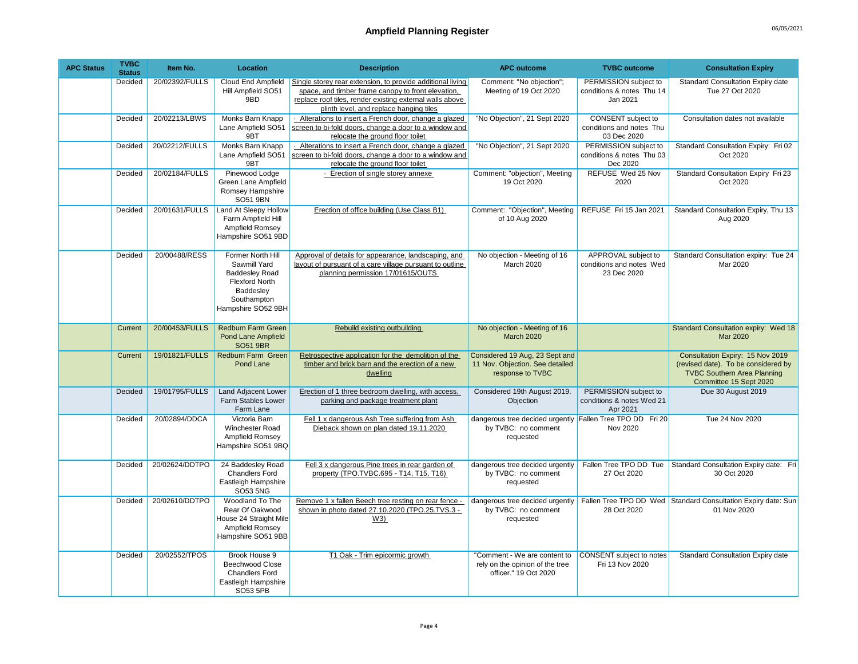| <b>APC Status</b> | <b>TVBC</b><br><b>Status</b> | Item No.       | Location                                                                                                                              | <b>Description</b>                                                                                                                                                                                                      | <b>APC outcome</b>                                                                            | <b>TVBC</b> outcome                                            | <b>Consultation Expiry</b>                                                                                                              |
|-------------------|------------------------------|----------------|---------------------------------------------------------------------------------------------------------------------------------------|-------------------------------------------------------------------------------------------------------------------------------------------------------------------------------------------------------------------------|-----------------------------------------------------------------------------------------------|----------------------------------------------------------------|-----------------------------------------------------------------------------------------------------------------------------------------|
|                   | Decided                      | 20/02392/FULLS | Cloud End Ampfield<br>Hill Ampfield SO51<br>9BD                                                                                       | Single storey rear extension, to provide additional living<br>space, and timber frame canopy to front elevation,<br>replace roof tiles, render existing external walls above<br>plinth level, and replace hanging tiles | Comment: "No objection";<br>Meeting of 19 Oct 2020                                            | PERMISSION subject to<br>conditions & notes Thu 14<br>Jan 2021 | Standard Consultation Expiry date<br>Tue 27 Oct 2020                                                                                    |
|                   | Decided                      | 20/02213/LBWS  | Monks Barn Knapp<br>Lane Ampfield SO51<br>9BT                                                                                         | - Alterations to insert a French door, change a glazed<br>screen to bi-fold doors, change a door to a window and<br>relocate the ground floor toilet                                                                    | "No Objection", 21 Sept 2020                                                                  | CONSENT subject to<br>conditions and notes Thu<br>03 Dec 2020  | Consultation dates not available                                                                                                        |
|                   | Decided                      | 20/02212/FULLS | Monks Barn Knapp<br>Lane Ampfield SO51<br>9BT                                                                                         | Alterations to insert a French door, change a glazed<br>screen to bi-fold doors, change a door to a window and<br>relocate the ground floor toilet                                                                      | "No Objection", 21 Sept 2020                                                                  | PERMISSION subject to<br>conditions & notes Thu 03<br>Dec 2020 | Standard Consultation Expiry: Fri 02<br>Oct 2020                                                                                        |
|                   | Decided                      | 20/02184/FULLS | Pinewood Lodge<br>Green Lane Ampfield<br>Romsey Hampshire<br><b>SO51 9BN</b>                                                          | Erection of single storey annexe                                                                                                                                                                                        | Comment: "objection", Meeting<br>19 Oct 2020                                                  | REFUSE Wed 25 Nov<br>2020                                      | Standard Consultation Expiry Fri 23<br>Oct 2020                                                                                         |
|                   | Decided                      | 20/01631/FULLS | <b>Land At Sleepy Hollow</b><br>Farm Ampfield Hill<br>Ampfield Romsey<br>Hampshire SO51 9BD                                           | Erection of office building (Use Class B1)                                                                                                                                                                              | Comment: "Objection", Meeting<br>of 10 Aug 2020                                               | REFUSE Fri 15 Jan 2021                                         | Standard Consultation Expiry, Thu 13<br>Aug 2020                                                                                        |
|                   | Decided                      | 20/00488/RESS  | Former North Hill<br>Sawmill Yard<br><b>Baddesley Road</b><br><b>Flexford North</b><br>Baddesley<br>Southampton<br>Hampshire SO52 9BH | Approval of details for appearance, landscaping, and<br>layout of pursuant of a care village pursuant to outline<br>planning permission 17/01615/OUTS                                                                   | No objection - Meeting of 16<br>March 2020                                                    | APPROVAL subject to<br>conditions and notes Wed<br>23 Dec 2020 | Standard Consultation expiry: Tue 24<br>Mar 2020                                                                                        |
|                   | Current                      | 20/00453/FULLS | <b>Redburn Farm Green</b><br><b>Pond Lane Ampfield</b><br><b>SO51 9BR</b>                                                             | Rebuild existing outbuilding                                                                                                                                                                                            | No objection - Meeting of 16<br><b>March 2020</b>                                             |                                                                | <b>Standard Consultation expiry: Wed 18</b><br><b>Mar 2020</b>                                                                          |
|                   | Current                      | 19/01821/FULLS | <b>Redburn Farm Green</b><br>Pond Lane                                                                                                | Retrospective application for the demolition of the<br>timber and brick barn and the erection of a new<br>dwelling                                                                                                      | Considered 19 Aug, 23 Sept and<br>11 Nov. Objection. See detailed<br>response to TVBC         |                                                                | Consultation Expiry: 15 Nov 2019<br>(revised date). To be considered by<br><b>TVBC Southern Area Planning</b><br>Committee 15 Sept 2020 |
|                   | Decided                      | 19/01795/FULLS | <b>Land Adjacent Lower</b><br>Farm Stables Lower<br>Farm Lane                                                                         | Erection of 1 three bedroom dwelling, with access,<br>parking and package treatment plant                                                                                                                               | Considered 19th August 2019.<br>Objection                                                     | PERMISSION subject to<br>conditions & notes Wed 21<br>Apr 2021 | Due 30 August 2019                                                                                                                      |
|                   | Decided                      | 20/02894/DDCA  | Victoria Barn<br>Winchester Road<br>Ampfield Romsey<br>Hampshire SO51 9BQ                                                             | Fell 1 x dangerous Ash Tree suffering from Ash<br>Dieback shown on plan dated 19.11.2020                                                                                                                                | dangerous tree decided urgently Fallen Tree TPO DD Fri 20<br>by TVBC: no comment<br>requested | Nov 2020                                                       | <b>Tue 24 Nov 2020</b>                                                                                                                  |
|                   | Decided                      | 20/02624/DDTPO | 24 Baddesley Road<br><b>Chandlers Ford</b><br>Eastleigh Hampshire<br>SO53 5NG                                                         | Fell 3 x dangerous Pine trees in rear garden of<br>property (TPO.TVBC.695 - T14, T15, T16)                                                                                                                              | dangerous tree decided urgently<br>by TVBC: no comment<br>requested                           | Fallen Tree TPO DD Tue<br>27 Oct 2020                          | Standard Consultation Expiry date: Fri<br>30 Oct 2020                                                                                   |
|                   | Decided                      | 20/02610/DDTPO | Woodland To The<br>Rear Of Oakwood<br>House 24 Straight Mile<br>Ampfield Romsey<br>Hampshire SO51 9BB                                 | Remove 1 x fallen Beech tree resting on rear fence -<br>shown in photo dated 27.10.2020 (TPO.25.TVS.3 -<br>W3)                                                                                                          | dangerous tree decided urgently<br>by TVBC: no comment<br>requested                           | 28 Oct 2020                                                    | Fallen Tree TPO DD Wed Standard Consultation Expiry date: Sun<br>01 Nov 2020                                                            |
|                   | Decided                      | 20/02552/TPOS  | <b>Brook House 9</b><br>Beechwood Close<br><b>Chandlers Ford</b><br>Eastleigh Hampshire<br><b>SO53 5PB</b>                            | T1 Oak - Trim epicormic growth                                                                                                                                                                                          | "Comment - We are content to<br>rely on the opinion of the tree<br>officer." 19 Oct 2020      | <b>CONSENT</b> subject to notes<br>Fri 13 Nov 2020             | Standard Consultation Expiry date                                                                                                       |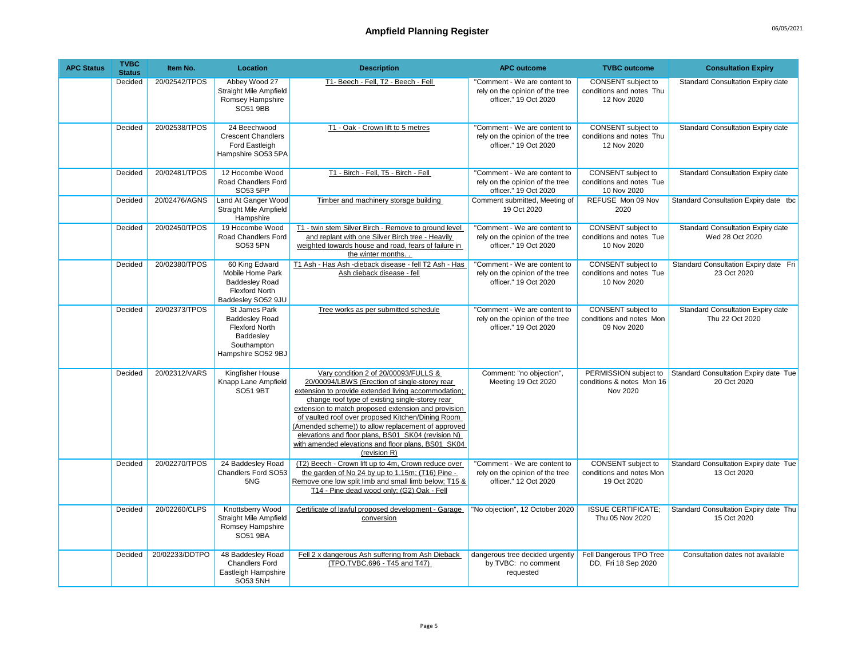| <b>APC Status</b> | <b>TVBC</b><br><b>Status</b> | Item No.       | Location                                                                                                                 | <b>Description</b>                                                                                                                                                                                                                                                                                                                                                                                                                                                                            | <b>APC outcome</b>                                                                       | <b>TVBC</b> outcome                                                  | <b>Consultation Expiry</b>                                  |
|-------------------|------------------------------|----------------|--------------------------------------------------------------------------------------------------------------------------|-----------------------------------------------------------------------------------------------------------------------------------------------------------------------------------------------------------------------------------------------------------------------------------------------------------------------------------------------------------------------------------------------------------------------------------------------------------------------------------------------|------------------------------------------------------------------------------------------|----------------------------------------------------------------------|-------------------------------------------------------------|
|                   | Decided                      | 20/02542/TPOS  | Abbey Wood 27<br><b>Straight Mile Ampfield</b><br>Romsey Hampshire<br>SO51 9BB                                           | T1- Beech - Fell, T2 - Beech - Fell                                                                                                                                                                                                                                                                                                                                                                                                                                                           | "Comment - We are content to<br>rely on the opinion of the tree<br>officer." 19 Oct 2020 | CONSENT subject to<br>conditions and notes Thu<br>12 Nov 2020        | Standard Consultation Expiry date                           |
|                   | Decided                      | 20/02538/TPOS  | 24 Beechwood<br><b>Crescent Chandlers</b><br>Ford Eastleigh<br>Hampshire SO53 5PA                                        | T1 - Oak - Crown lift to 5 metres                                                                                                                                                                                                                                                                                                                                                                                                                                                             | "Comment - We are content to<br>rely on the opinion of the tree<br>officer." 19 Oct 2020 | <b>CONSENT</b> subject to<br>conditions and notes Thu<br>12 Nov 2020 | Standard Consultation Expiry date                           |
|                   | Decided                      | 20/02481/TPOS  | 12 Hocombe Wood<br>Road Chandlers Ford<br>SO53 5PP                                                                       | T1 - Birch - Fell, T5 - Birch - Fell                                                                                                                                                                                                                                                                                                                                                                                                                                                          | "Comment - We are content to<br>rely on the opinion of the tree<br>officer." 19 Oct 2020 | <b>CONSENT</b> subject to<br>conditions and notes Tue<br>10 Nov 2020 | <b>Standard Consultation Expiry date</b>                    |
|                   | Decided                      | 20/02476/AGNS  | Land At Ganger Wood<br><b>Straight Mile Ampfield</b><br>Hampshire                                                        | Timber and machinery storage building                                                                                                                                                                                                                                                                                                                                                                                                                                                         | Comment submitted, Meeting of<br>19 Oct 2020                                             | REFUSE Mon 09 Nov<br>2020                                            | Standard Consultation Expiry date tbc                       |
|                   | Decided                      | 20/02450/TPOS  | 19 Hocombe Wood<br>Road Chandlers Ford<br>SO53 5PN                                                                       | T1 - twin stem Silver Birch - Remove to ground level<br>and replant with one Silver Birch tree - Heavily<br>weighted towards house and road, fears of failure in<br>the winter months.                                                                                                                                                                                                                                                                                                        | "Comment - We are content to<br>rely on the opinion of the tree<br>officer." 19 Oct 2020 | CONSENT subject to<br>conditions and notes Tue<br>10 Nov 2020        | Standard Consultation Expiry date<br>Wed 28 Oct 2020        |
|                   | Decided                      | 20/02380/TPOS  | 60 King Edward<br>Mobile Home Park<br><b>Baddesley Road</b><br><b>Flexford North</b><br>Baddesley SO52 9JU               | T1 Ash - Has Ash -dieback disease - fell T2 Ash - Has<br>Ash dieback disease - fell                                                                                                                                                                                                                                                                                                                                                                                                           | "Comment - We are content to<br>rely on the opinion of the tree<br>officer." 19 Oct 2020 | CONSENT subject to<br>conditions and notes Tue<br>10 Nov 2020        | Standard Consultation Expiry date Fri<br>23 Oct 2020        |
|                   | Decided                      | 20/02373/TPOS  | <b>St James Park</b><br><b>Baddesley Road</b><br><b>Flexford North</b><br>Baddesley<br>Southampton<br>Hampshire SO52 9BJ | Tree works as per submitted schedule                                                                                                                                                                                                                                                                                                                                                                                                                                                          | "Comment - We are content to<br>rely on the opinion of the tree<br>officer." 19 Oct 2020 | <b>CONSENT</b> subject to<br>conditions and notes Mon<br>09 Nov 2020 | <b>Standard Consultation Expiry date</b><br>Thu 22 Oct 2020 |
|                   | Decided                      | 20/02312/VARS  | Kingfisher House<br>Knapp Lane Ampfield<br>SO51 9BT                                                                      | Vary condition 2 of 20/00093/FULLS &<br>20/00094/LBWS (Erection of single-storey rear<br>extension to provide extended living accommodation:<br>change roof type of existing single-storey rear<br>extension to match proposed extension and provision<br>of vaulted roof over proposed Kitchen/Dining Room<br>(Amended scheme)) to allow replacement of approved<br>elevations and floor plans, BS01 SK04 (revision N)<br>with amended elevations and floor plans, BS01 SK04<br>(revision R) | Comment: "no objection",<br>Meeting 19 Oct 2020                                          | PERMISSION subject to<br>conditions & notes Mon 16<br>Nov 2020       | Standard Consultation Expiry date Tue<br>20 Oct 2020        |
|                   | Decided                      | 20/02270/TPOS  | 24 Baddesley Road<br>Chandlers Ford SO53<br>5NG                                                                          | (T2) Beech - Crown lift up to 4m, Crown reduce over<br>the garden of No 24 by up to 1.15m; (T16) Pine -<br>Remove one low split limb and small limb below; T15 &<br>T14 - Pine dead wood only; (G2) Oak - Fell                                                                                                                                                                                                                                                                                | "Comment - We are content to<br>rely on the opinion of the tree<br>officer." 12 Oct 2020 | CONSENT subject to<br>conditions and notes Mon<br>19 Oct 2020        | Standard Consultation Expiry date Tue<br>13 Oct 2020        |
|                   | Decided                      | 20/02260/CLPS  | Knottsberry Wood<br>Straight Mile Ampfield<br>Romsey Hampshire<br>SO51 9BA                                               | Certificate of lawful proposed development - Garage<br>conversion                                                                                                                                                                                                                                                                                                                                                                                                                             | "No objection", 12 October 2020                                                          | <b>ISSUE CERTIFICATE:</b><br>Thu 05 Nov 2020                         | Standard Consultation Expiry date Thu<br>15 Oct 2020        |
|                   | Decided                      | 20/02233/DDTPO | 48 Baddesley Road<br><b>Chandlers Ford</b><br>Eastleigh Hampshire<br><b>SO53 5NH</b>                                     | Fell 2 x dangerous Ash suffering from Ash Dieback<br>(TPO.TVBC.696 - T45 and T47)                                                                                                                                                                                                                                                                                                                                                                                                             | dangerous tree decided urgently<br>by TVBC: no comment<br>requested                      | Fell Dangerous TPO Tree<br>DD, Fri 18 Sep 2020                       | Consultation dates not available                            |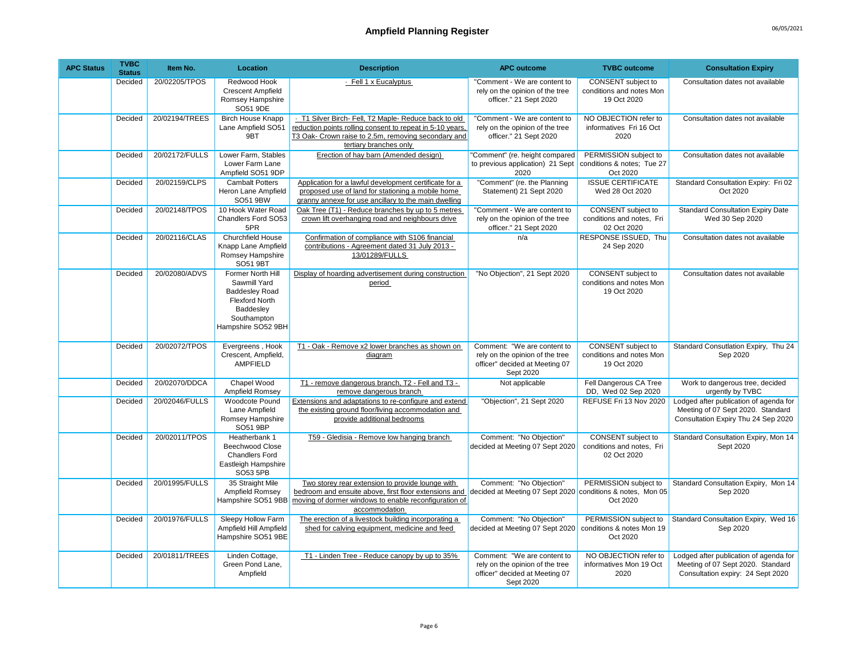| <b>APC Status</b> | <b>TVBC</b><br><b>Status</b> | Item No.       | Location                                                                                                                              | <b>Description</b>                                                                                                                                                                                | <b>APC outcome</b>                                                                                            | <b>TVBC</b> outcome                                             | <b>Consultation Expiry</b>                                                                                         |
|-------------------|------------------------------|----------------|---------------------------------------------------------------------------------------------------------------------------------------|---------------------------------------------------------------------------------------------------------------------------------------------------------------------------------------------------|---------------------------------------------------------------------------------------------------------------|-----------------------------------------------------------------|--------------------------------------------------------------------------------------------------------------------|
|                   | Decided                      | 20/02205/TPOS  | Redwood Hook<br><b>Crescent Ampfield</b><br>Romsey Hampshire<br>SO51 9DE                                                              | · Fell 1 x Eucalyptus                                                                                                                                                                             | "Comment - We are content to<br>rely on the opinion of the tree<br>officer." 21 Sept 2020                     | CONSENT subject to<br>conditions and notes Mon<br>19 Oct 2020   | Consultation dates not available                                                                                   |
|                   | Decided                      | 20/02194/TREES | <b>Birch House Knapp</b><br>Lane Ampfield SO51<br>9BT                                                                                 | T1 Silver Birch- Fell, T2 Maple- Reduce back to old<br>reduction points rolling consent to repeat in 5-10 years,<br>T3 Oak- Crown raise to 2.5m, removing secondary and<br>tertiary branches only | "Comment - We are content to<br>rely on the opinion of the tree<br>officer." 21 Sept 2020                     | NO OBJECTION refer to<br>informatives Fri 16 Oct<br>2020        | Consultation dates not available                                                                                   |
|                   | Decided                      | 20/02172/FULLS | Lower Farm, Stables<br>Lower Farm Lane<br>Ampfield SO51 9DP                                                                           | Erection of hay barn (Amended design)                                                                                                                                                             | "Comment" (re. height compared<br>to previous application) 21 Sept<br>2020                                    | PERMISSION subject to<br>conditions & notes; Tue 27<br>Oct 2020 | Consultation dates not available                                                                                   |
|                   | Decided                      | 20/02159/CLPS  | <b>Cambalt Potters</b><br>Heron Lane Ampfield<br>SO51 9BW                                                                             | Application for a lawful development certificate for a<br>proposed use of land for stationing a mobile home<br>granny annexe for use ancillary to the main dwelling                               | "Comment" (re. the Planning<br>Statement) 21 Sept 2020                                                        | <b>ISSUE CERTIFICATE</b><br>Wed 28 Oct 2020                     | Standard Consultation Expiry: Fri 02<br>Oct 2020                                                                   |
|                   | Decided                      | 20/02148/TPOS  | 10 Hook Water Road<br><b>Chandlers Ford SO53</b><br>5PR                                                                               | Oak Tree (T1) - Reduce branches by up to 5 metres<br>crown lift overhanging road and neighbours drive                                                                                             | "Comment - We are content to<br>rely on the opinion of the tree<br>officer." 21 Sept 2020                     | CONSENT subject to<br>conditions and notes, Fri<br>02 Oct 2020  | <b>Standard Consultation Expiry Date</b><br>Wed 30 Sep 2020                                                        |
|                   | Decided                      | 20/02116/CLAS  | <b>Churchfield House</b><br>Knapp Lane Ampfield<br>Romsey Hampshire<br><b>SO51 9BT</b>                                                | Confirmation of compliance with S106 financial<br>contributions - Agreement dated 31 July 2013 -<br>13/01289/FULLS                                                                                | n/a                                                                                                           | RESPONSE ISSUED, Thu<br>24 Sep 2020                             | Consultation dates not available                                                                                   |
|                   | Decided                      | 20/02080/ADVS  | Former North Hill<br>Sawmill Yard<br><b>Baddesley Road</b><br><b>Flexford North</b><br>Baddesley<br>Southampton<br>Hampshire SO52 9BH | Display of hoarding advertisement during construction<br>period                                                                                                                                   | "No Objection", 21 Sept 2020                                                                                  | CONSENT subject to<br>conditions and notes Mon<br>19 Oct 2020   | Consultation dates not available                                                                                   |
|                   | Decided                      | 20/02072/TPOS  | Evergreens, Hook<br>Crescent, Ampfield,<br>AMPFIELD                                                                                   | T1 - Oak - Remove x2 lower branches as shown on<br>diagram                                                                                                                                        | Comment: "We are content to<br>rely on the opinion of the tree<br>officer" decided at Meeting 07<br>Sept 2020 | CONSENT subject to<br>conditions and notes Mon<br>19 Oct 2020   | Standard Consutlation Expiry, Thu 24<br>Sep 2020                                                                   |
|                   | Decided                      | 20/02070/DDCA  | Chapel Wood<br>Ampfield Romsey                                                                                                        | T1 - remove dangerous branch, T2 - Fell and T3 -<br>remove dangerous branch                                                                                                                       | Not applicable                                                                                                | Fell Dangerous CA Tree<br>DD, Wed 02 Sep 2020                   | Work to dangerous tree, decided<br>urgently by TVBC                                                                |
|                   | <b>Decided</b>               | 20/02046/FULLS | <b>Woodcote Pound</b><br>Lane Ampfield<br>Romsey Hampshire<br>SO51 9BP                                                                | Extensions and adaptations to re-configure and extend<br>the existing ground floor/living accommodation and<br>provide additional bedrooms                                                        | "Objection", 21 Sept 2020                                                                                     | REFUSE Fri 13 Nov 2020                                          | Lodged after publication of agenda for<br>Meeting of 07 Sept 2020. Standard<br>Consultation Expiry Thu 24 Sep 2020 |
|                   | Decided                      | 20/02011/TPOS  | Heatherbank 1<br><b>Beechwood Close</b><br><b>Chandlers Ford</b><br>Eastleigh Hampshire<br>SO53 5PB                                   | T59 - Gledisia - Remove low hanging branch                                                                                                                                                        | Comment: "No Objection"<br>decided at Meeting 07 Sept 2020                                                    | CONSENT subject to<br>conditions and notes, Fri<br>02 Oct 2020  | Standard Consultation Expiry, Mon 14<br>Sept 2020                                                                  |
|                   | Decided                      | 20/01995/FULLS | 35 Straight Mile<br>Ampfield Romsey<br>Hampshire SO51 9BB                                                                             | Two storey rear extension to provide lounge with<br>bedroom and ensuite above, first floor extensions and<br>moving of dormer windows to enable reconfiguration of<br>accommodation               | Comment: "No Objection"<br>decided at Meeting 07 Sept 2020 conditions & notes, Mon 05                         | PERMISSION subject to<br>Oct 2020                               | Standard Consultation Expiry, Mon 14<br>Sep 2020                                                                   |
|                   | Decided                      | 20/01976/FULLS | Sleepy Hollow Farm<br>Ampfield Hill Ampfield<br>Hampshire SO51 9BE                                                                    | The erection of a livestock building incorporating a<br>shed for calving equipment, medicine and feed                                                                                             | Comment: "No Objection"<br>decided at Meeting 07 Sept 2020                                                    | PERMISSION subject to<br>conditions & notes Mon 19<br>Oct 2020  | Standard Consultation Expiry, Wed 16<br>Sep 2020                                                                   |
|                   | Decided                      | 20/01811/TREES | Linden Cottage,<br>Green Pond Lane,<br>Ampfield                                                                                       | T1 - Linden Tree - Reduce canopy by up to 35%                                                                                                                                                     | Comment: "We are content to<br>rely on the opinion of the tree<br>officer" decided at Meeting 07<br>Sept 2020 | NO OBJECTION refer to<br>informatives Mon 19 Oct<br>2020        | Lodged after publication of agenda for<br>Meeting of 07 Sept 2020. Standard<br>Consultation expiry: 24 Sept 2020   |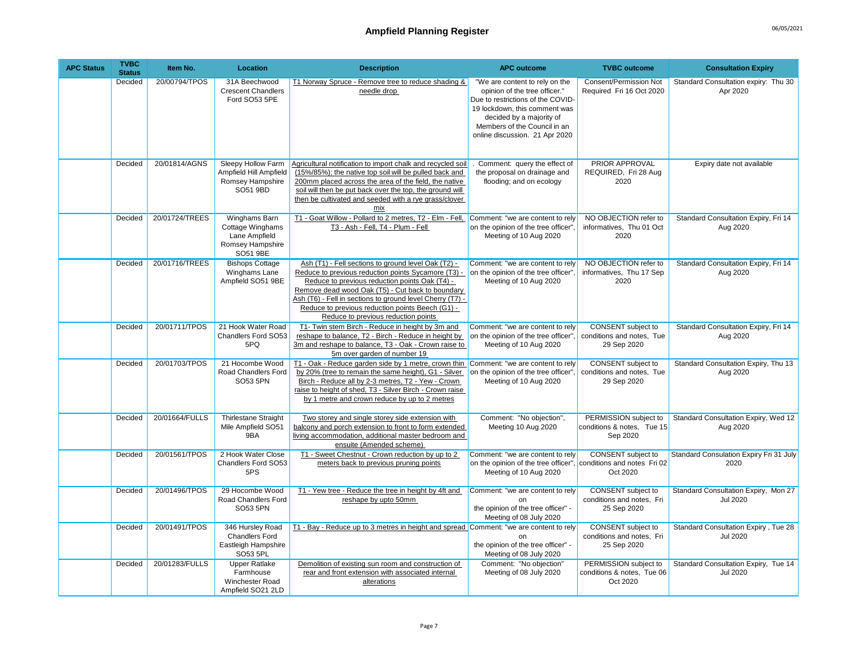| <b>APC Status</b> | <b>TVBC</b><br><b>Status</b> | Item No.       | <b>Location</b>                                                                    | <b>Description</b>                                                                                                                                                                                                                                                                                                                                                       | <b>APC outcome</b>                                                                                                                                                                                                                  | <b>TVBC</b> outcome                                                   | <b>Consultation Expiry</b>                              |
|-------------------|------------------------------|----------------|------------------------------------------------------------------------------------|--------------------------------------------------------------------------------------------------------------------------------------------------------------------------------------------------------------------------------------------------------------------------------------------------------------------------------------------------------------------------|-------------------------------------------------------------------------------------------------------------------------------------------------------------------------------------------------------------------------------------|-----------------------------------------------------------------------|---------------------------------------------------------|
|                   | Decided                      | 20/00794/TPOS  | 31A Beechwood<br><b>Crescent Chandlers</b><br>Ford SO53 5PE                        | T1 Norway Spruce - Remove tree to reduce shading &<br>needle drop                                                                                                                                                                                                                                                                                                        | "We are content to rely on the<br>opinion of the tree officer."<br>Due to restrictions of the COVID-<br>19 lockdown, this comment was<br>decided by a majority of<br>Members of the Council in an<br>online discussion. 21 Apr 2020 | Consent/Permission Not<br>Required Fri 16 Oct 2020                    | Standard Consultation expiry: Thu 30<br>Apr 2020        |
|                   | Decided                      | 20/01814/AGNS  | Sleepy Hollow Farm<br>Ampfield Hill Ampfield<br>Romsey Hampshire<br>SO51 9BD       | Agricultural notification to import chalk and recycled soil<br>(15%/85%); the native top soil will be pulled back and<br>200mm placed across the area of the field, the native<br>soil will then be put back over the top, the ground will<br>then be cultivated and seeded with a rye grass/clover<br>mix                                                               | Comment: query the effect of<br>the proposal on drainage and<br>flooding; and on ecology                                                                                                                                            | <b>PRIOR APPROVAL</b><br>REQUIRED, Fri 28 Aug<br>2020                 | Expiry date not available                               |
|                   | Decided                      | 20/01724/TREES | Winghams Barn<br>Cottage Winghams<br>Lane Ampfield<br>Romsey Hampshire<br>SO51 9BE | T1 - Goat Willow - Pollard to 2 metres, T2 - Elm - Fell,<br>T3 - Ash - Fell, T4 - Plum - Fell                                                                                                                                                                                                                                                                            | Comment: "we are content to rely<br>on the opinion of the tree officer",<br>Meeting of 10 Aug 2020                                                                                                                                  | NO OBJECTION refer to<br>informatives, Thu 01 Oct<br>2020             | Standard Consultation Expiry, Fri 14<br>Aug 2020        |
|                   | Decided                      | 20/01716/TREES | <b>Bishops Cottage</b><br>Winghams Lane<br>Ampfield SO51 9BE                       | Ash (T1) - Fell sections to ground level Oak (T2) -<br>Reduce to previous reduction points Sycamore (T3) -<br>Reduce to previous reduction points Oak (T4) -<br>Remove dead wood Oak (T5) - Cut back to boundary<br>Ash (T6) - Fell in sections to ground level Cherry (T7) -<br>Reduce to previous reduction points Beech (G1) -<br>Reduce to previous reduction points | Comment: "we are content to rely<br>on the opinion of the tree officer",<br>Meeting of 10 Aug 2020                                                                                                                                  | NO OBJECTION refer to<br>informatives, Thu 17 Sep<br>2020             | Standard Consultation Expiry, Fri 14<br>Aug 2020        |
|                   | Decided                      | 20/01711/TPOS  | 21 Hook Water Road<br>Chandlers Ford SO53<br>5PQ                                   | T1- Twin stem Birch - Reduce in height by 3m and<br>reshape to balance, T2 - Birch - Reduce in height by<br>3m and reshape to balance, T3 - Oak - Crown raise to<br>5m over garden of number 19                                                                                                                                                                          | Comment: "we are content to rely<br>on the opinion of the tree officer".<br>Meeting of 10 Aug 2020                                                                                                                                  | CONSENT subject to<br>conditions and notes, Tue<br>29 Sep 2020        | Standard Consultation Expiry, Fri 14<br>Aug 2020        |
|                   | Decided                      | 20/01703/TPOS  | 21 Hocombe Wood<br>Road Chandlers Ford<br>SO53 5PN                                 | T1 - Oak - Reduce garden side by 1 metre, crown thin<br>by 20% (tree to remain the same height), G1 - Silver<br>Birch - Reduce all by 2-3 metres, T2 - Yew - Crown<br>raise to height of shed, T3 - Silver Birch - Crown raise<br>by 1 metre and crown reduce by up to 2 metres                                                                                          | Comment: "we are content to rely<br>on the opinion of the tree officer",<br>Meeting of 10 Aug 2020                                                                                                                                  | <b>CONSENT</b> subject to<br>conditions and notes, Tue<br>29 Sep 2020 | Standard Consultation Expiry, Thu 13<br>Aug 2020        |
|                   | Decided                      | 20/01664/FULLS | <b>Thirlestane Straight</b><br>Mile Ampfield SO51<br>9BA                           | Two storey and single storey side extension with<br>balcony and porch extension to front to form extended<br>living accommodation, additional master bedroom and<br>ensuite (Amended scheme)                                                                                                                                                                             | Comment: "No objection",<br>Meeting 10 Aug 2020                                                                                                                                                                                     | PERMISSION subject to<br>conditions & notes, Tue 15<br>Sep 2020       | Standard Consultation Expiry, Wed 12<br>Aug 2020        |
|                   | Decided                      | 20/01561/TPOS  | 2 Hook Water Close<br>Chandlers Ford SO53<br>5PS                                   | T1 - Sweet Chestnut - Crown reduction by up to 2<br>meters back to previous pruning points                                                                                                                                                                                                                                                                               | Comment: "we are content to rely<br>on the opinion of the tree officer", conditions and notes Fri 02<br>Meeting of 10 Aug 2020                                                                                                      | <b>CONSENT</b> subject to<br>Oct 2020                                 | Standard Consulation Expiry Fri 31 July<br>2020         |
|                   | Decided                      | 20/01496/TPOS  | 29 Hocombe Wood<br>Road Chandlers Ford<br>SO53 5PN                                 | T1 - Yew tree - Reduce the tree in height by 4ft and<br>reshape by upto 50mm                                                                                                                                                                                                                                                                                             | Comment: "we are content to rely<br><sub>on</sub><br>the opinion of the tree officer" -<br>Meeting of 08 July 2020                                                                                                                  | CONSENT subject to<br>conditions and notes, Fri<br>25 Sep 2020        | Standard Consultation Expiry, Mon 27<br><b>Jul 2020</b> |
|                   | Decided                      | 20/01491/TPOS  | 346 Hursley Road<br><b>Chandlers Ford</b><br>Eastleigh Hampshire<br>SO53 5PL       | T1 - Bay - Reduce up to 3 metres in height and spread Comment: "we are content to rely                                                                                                                                                                                                                                                                                   | n <sub>n</sub><br>the opinion of the tree officer" -<br>Meeting of 08 July 2020                                                                                                                                                     | CONSENT subject to<br>conditions and notes, Fri<br>25 Sep 2020        | Standard Consultation Expiry, Tue 28<br><b>Jul 2020</b> |
|                   | Decided                      | 20/01283/FULLS | <b>Upper Ratlake</b><br>Farmhouse<br>Winchester Road<br>Ampfield SO21 2LD          | Demolition of existing sun room and construction of<br>rear and front extension with associated internal<br>alterations                                                                                                                                                                                                                                                  | Comment: "No objection'<br>Meeting of 08 July 2020                                                                                                                                                                                  | PERMISSION subject to<br>conditions & notes, Tue 06<br>Oct 2020       | Standard Consultation Expiry, Tue 14<br><b>Jul 2020</b> |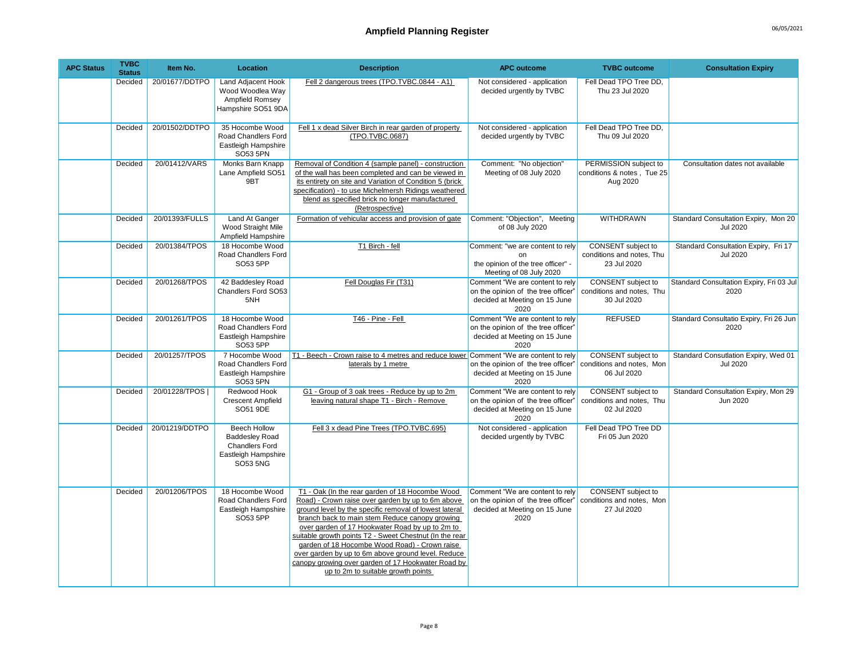| <b>APC Status</b> | <b>TVBC</b><br><b>Status</b> | Item No.        | Location                                                                                                 | <b>Description</b>                                                                                                                                                                                                                                                                                                                                                                                                                                                                                                                | <b>APC outcome</b>                                                                                              | <b>TVBC</b> outcome                                             | <b>Consultation Expiry</b>                              |
|-------------------|------------------------------|-----------------|----------------------------------------------------------------------------------------------------------|-----------------------------------------------------------------------------------------------------------------------------------------------------------------------------------------------------------------------------------------------------------------------------------------------------------------------------------------------------------------------------------------------------------------------------------------------------------------------------------------------------------------------------------|-----------------------------------------------------------------------------------------------------------------|-----------------------------------------------------------------|---------------------------------------------------------|
|                   | Decided                      | 20/01677/DDTPO  | Land Adjacent Hook<br>Wood Woodlea Way<br>Ampfield Romsey<br>Hampshire SO51 9DA                          | Fell 2 dangerous trees (TPO.TVBC.0844 - A1)                                                                                                                                                                                                                                                                                                                                                                                                                                                                                       | Not considered - application<br>decided urgently by TVBC                                                        | Fell Dead TPO Tree DD,<br>Thu 23 Jul 2020                       |                                                         |
|                   | Decided                      | 20/01502/DDTPO  | 35 Hocombe Wood<br>Road Chandlers Ford<br>Eastleigh Hampshire<br>SO53 5PN                                | Fell 1 x dead Silver Birch in rear garden of property<br>(TPO.TVBC.0687)                                                                                                                                                                                                                                                                                                                                                                                                                                                          | Not considered - application<br>decided urgently by TVBC                                                        | Fell Dead TPO Tree DD,<br>Thu 09 Jul 2020                       |                                                         |
|                   | Decided                      | 20/01412/VARS   | Monks Barn Knapp<br>Lane Ampfield SO51<br>9BT                                                            | Removal of Condition 4 (sample panel) - construction<br>of the wall has been completed and can be viewed in<br>its entirety on site and Variation of Condition 5 (brick<br>specification) - to use Michelmersh Ridings weathered<br>blend as specified brick no longer manufactured<br>(Retrospective)                                                                                                                                                                                                                            | Comment: "No objection"<br>Meeting of 08 July 2020                                                              | PERMISSION subject to<br>conditions & notes, Tue 25<br>Aug 2020 | Consultation dates not available                        |
|                   | Decided                      | 20/01393/FULLS  | Land At Ganger<br>Wood Straight Mile<br>Ampfield Hampshire                                               | Formation of vehicular access and provision of gate                                                                                                                                                                                                                                                                                                                                                                                                                                                                               | Comment: "Objection", Meeting<br>of 08 July 2020                                                                | WITHDRAWN                                                       | Standard Consultation Expiry, Mon 20<br><b>Jul 2020</b> |
|                   | Decided                      | 20/01384/TPOS   | 18 Hocombe Wood<br>Road Chandlers Ford<br>SO53 5PP                                                       | T1 Birch - fell                                                                                                                                                                                                                                                                                                                                                                                                                                                                                                                   | Comment: "we are content to rely<br>on<br>the opinion of the tree officer" -<br>Meeting of 08 July 2020         | CONSENT subject to<br>conditions and notes, Thu<br>23 Jul 2020  | Standard Consultation Expiry, Fri 17<br><b>Jul 2020</b> |
|                   | Decided                      | 20/01268/TPOS   | 42 Baddesley Road<br>Chandlers Ford SO53<br>5NH                                                          | Fell Douglas Fir (T31)                                                                                                                                                                                                                                                                                                                                                                                                                                                                                                            | Comment "We are content to rely<br>on the opinion of the tree officer"<br>decided at Meeting on 15 June<br>2020 | CONSENT subject to<br>conditions and notes, Thu<br>30 Jul 2020  | Standard Consultation Expiry, Fri 03 Jul<br>2020        |
|                   | Decided                      | 20/01261/TPOS   | 18 Hocombe Wood<br>Road Chandlers Ford<br>Eastleigh Hampshire<br>SO53 5PP                                | T46 - Pine - Fell                                                                                                                                                                                                                                                                                                                                                                                                                                                                                                                 | Comment "We are content to rely<br>on the opinion of the tree officer'<br>decided at Meeting on 15 June<br>2020 | <b>REFUSED</b>                                                  | Standard Consultatio Expiry, Fri 26 Jun<br>2020         |
|                   | Decided                      | 20/01257/TPOS   | 7 Hocombe Wood<br>Road Chandlers Ford<br>Eastleigh Hampshire<br>SO53 5PN                                 | T1 - Beech - Crown raise to 4 metres and reduce lower Comment "We are content to rely<br>laterals by 1 metre                                                                                                                                                                                                                                                                                                                                                                                                                      | on the opinion of the tree officer"<br>decided at Meeting on 15 June<br>2020                                    | CONSENT subject to<br>conditions and notes, Mon<br>06 Jul 2020  | Standard Consutlation Expiry, Wed 01<br><b>Jul 2020</b> |
|                   | Decided                      | 20/01228/TPOS I | Redwood Hook<br><b>Crescent Ampfield</b><br>SO51 9DE                                                     | G1 - Group of 3 oak trees - Reduce by up to 2m<br>leaving natural shape T1 - Birch - Remove                                                                                                                                                                                                                                                                                                                                                                                                                                       | Comment "We are content to rely<br>on the opinion of the tree officer"<br>decided at Meeting on 15 June<br>2020 | CONSENT subject to<br>conditions and notes, Thu<br>02 Jul 2020  | Standard Consultation Expiry, Mon 29<br>Jun 2020        |
|                   | Decided                      | 20/01219/DDTPO  | <b>Beech Hollow</b><br><b>Baddesley Road</b><br><b>Chandlers Ford</b><br>Eastleigh Hampshire<br>SO53 5NG | Fell 3 x dead Pine Trees (TPO.TVBC.695)                                                                                                                                                                                                                                                                                                                                                                                                                                                                                           | Not considered - application<br>decided urgently by TVBC                                                        | Fell Dead TPO Tree DD<br>Fri 05 Jun 2020                        |                                                         |
|                   | Decided                      | 20/01206/TPOS   | 18 Hocombe Wood<br>Road Chandlers Ford<br>Eastleigh Hampshire<br>SO53 5PP                                | T1 - Oak (In the rear garden of 18 Hocombe Wood<br>Road) - Crown raise over garden by up to 6m above<br>ground level by the specific removal of lowest lateral<br>branch back to main stem Reduce canopy growing<br>over garden of 17 Hookwater Road by up to 2m to<br>suitable growth points T2 - Sweet Chestnut (In the rear<br>garden of 18 Hocombe Wood Road) - Crown raise<br>over garden by up to 6m above ground level. Reduce<br>canopy growing over garden of 17 Hookwater Road by<br>up to 2m to suitable growth points | Comment "We are content to rely<br>on the opinion of the tree officer"<br>decided at Meeting on 15 June<br>2020 | CONSENT subject to<br>conditions and notes, Mon<br>27 Jul 2020  |                                                         |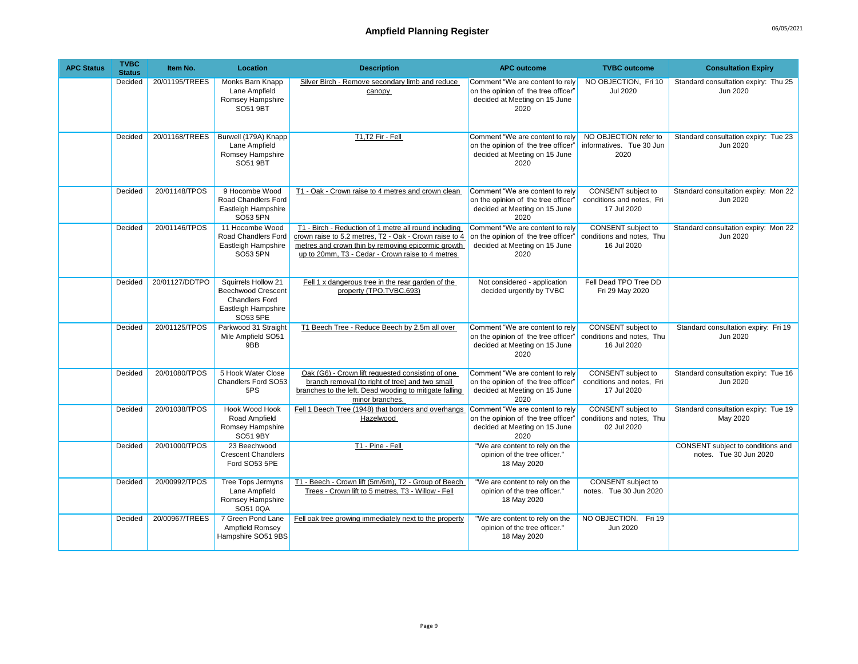| <b>APC Status</b> | <b>TVBC</b><br><b>Status</b> | Item No.       | Location                                                                                                     | <b>Description</b>                                                                                                                                                                                                        | <b>APC outcome</b>                                                                                              | <b>TVBC</b> outcome                                                   | <b>Consultation Expiry</b>                                  |
|-------------------|------------------------------|----------------|--------------------------------------------------------------------------------------------------------------|---------------------------------------------------------------------------------------------------------------------------------------------------------------------------------------------------------------------------|-----------------------------------------------------------------------------------------------------------------|-----------------------------------------------------------------------|-------------------------------------------------------------|
|                   | Decided                      | 20/01195/TREES | Monks Barn Knapp<br>Lane Ampfield<br>Romsey Hampshire<br>SO51 9BT                                            | Silver Birch - Remove secondary limb and reduce<br>canopy                                                                                                                                                                 | Comment "We are content to rely<br>on the opinion of the tree officer"<br>decided at Meeting on 15 June<br>2020 | NO OBJECTION. Fri 10<br><b>Jul 2020</b>                               | Standard consultation expiry: Thu 25<br>Jun 2020            |
|                   | Decided                      | 20/01168/TREES | Burwell (179A) Knapp<br>Lane Ampfield<br>Romsey Hampshire<br>SO51 9BT                                        | T1,T2 Fir - Fell                                                                                                                                                                                                          | Comment "We are content to rely<br>on the opinion of the tree officer"<br>decided at Meeting on 15 June<br>2020 | NO OBJECTION refer to<br>informatives. Tue 30 Jun<br>2020             | Standard consultation expiry: Tue 23<br>Jun 2020            |
|                   | Decided                      | 20/01148/TPOS  | 9 Hocombe Wood<br>Road Chandlers Ford<br>Eastleigh Hampshire<br>SO53 5PN                                     | T1 - Oak - Crown raise to 4 metres and crown clean                                                                                                                                                                        | Comment "We are content to rely<br>on the opinion of the tree officer"<br>decided at Meeting on 15 June<br>2020 | CONSENT subject to<br>conditions and notes, Fri<br>17 Jul 2020        | Standard consultation expiry: Mon 22<br>Jun 2020            |
|                   | Decided                      | 20/01146/TPOS  | 11 Hocombe Wood<br>Road Chandlers Ford<br>Eastleigh Hampshire<br>SO53 5PN                                    | T1 - Birch - Reduction of 1 metre all round including<br>crown raise to 5.2 metres, T2 - Oak - Crown raise to 4<br>metres and crown thin by removing epicormic growth<br>up to 20mm, T3 - Cedar - Crown raise to 4 metres | Comment "We are content to rely<br>on the opinion of the tree officer"<br>decided at Meeting on 15 June<br>2020 | CONSENT subject to<br>conditions and notes, Thu<br>16 Jul 2020        | Standard consultation expiry: Mon 22<br>Jun 2020            |
|                   | Decided                      | 20/01127/DDTPO | Squirrels Hollow 21<br><b>Beechwood Crescent</b><br><b>Chandlers Ford</b><br>Eastleigh Hampshire<br>SO53 5PE | Fell 1 x dangerous tree in the rear garden of the<br>property (TPO.TVBC.693)                                                                                                                                              | Not considered - application<br>decided urgently by TVBC                                                        | Fell Dead TPO Tree DD<br>Fri 29 May 2020                              |                                                             |
|                   | Decided                      | 20/01125/TPOS  | Parkwood 31 Straight<br>Mile Ampfield SO51<br>9BB                                                            | T1 Beech Tree - Reduce Beech by 2.5m all over                                                                                                                                                                             | Comment "We are content to rely<br>on the opinion of the tree officer"<br>decided at Meeting on 15 June<br>2020 | <b>CONSENT</b> subject to<br>conditions and notes, Thu<br>16 Jul 2020 | Standard consultation expiry: Fri 19<br>Jun 2020            |
|                   | Decided                      | 20/01080/TPOS  | 5 Hook Water Close<br>Chandlers Ford SO53<br>5PS                                                             | Oak (G6) - Crown lift requested consisting of one<br>branch removal (to right of tree) and two small<br>branches to the left. Dead wooding to mitigate falling<br>minor branches.                                         | Comment "We are content to rely<br>on the opinion of the tree officer'<br>decided at Meeting on 15 June<br>2020 | CONSENT subject to<br>conditions and notes, Fri<br>17 Jul 2020        | Standard consultation expiry: Tue 16<br>Jun 2020            |
|                   | Decided                      | 20/01038/TPOS  | <b>Hook Wood Hook</b><br>Road Ampfield<br>Romsey Hampshire<br>SO51 9BY                                       | Fell 1 Beech Tree (1948) that borders and overhangs<br>Hazelwood                                                                                                                                                          | Comment "We are content to rely<br>on the opinion of the tree officer"<br>decided at Meeting on 15 June<br>2020 | CONSENT subject to<br>conditions and notes, Thu<br>02 Jul 2020        | Standard consultation expiry: Tue 19<br>May 2020            |
|                   | Decided                      | 20/01000/TPOS  | 23 Beechwood<br><b>Crescent Chandlers</b><br>Ford SO53 5PE                                                   | T1 - Pine - Fell                                                                                                                                                                                                          | "We are content to rely on the<br>opinion of the tree officer."<br>18 May 2020                                  |                                                                       | CONSENT subject to conditions and<br>notes. Tue 30 Jun 2020 |
|                   | Decided                      | 20/00992/TPOS  | Tree Tops Jermyns<br>Lane Ampfield<br>Romsey Hampshire<br>SO51 0QA                                           | T1 - Beech - Crown lift (5m/6m), T2 - Group of Beech<br>Trees - Crown lift to 5 metres, T3 - Willow - Fell                                                                                                                | "We are content to rely on the<br>opinion of the tree officer."<br>18 May 2020                                  | CONSENT subject to<br>notes. Tue 30 Jun 2020                          |                                                             |
|                   | Decided                      | 20/00967/TREES | 7 Green Pond Lane<br>Ampfield Romsey<br>Hampshire SO51 9BS                                                   | Fell oak tree growing immediately next to the property                                                                                                                                                                    | "We are content to rely on the<br>opinion of the tree officer."<br>18 May 2020                                  | NO OBJECTION. Fri 19<br>Jun 2020                                      |                                                             |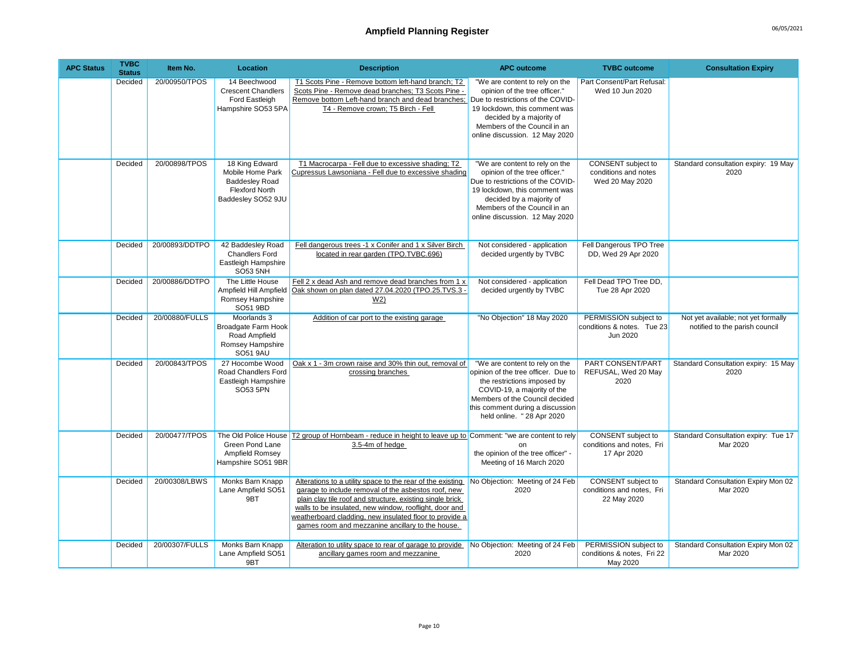| <b>APC Status</b> | <b>TVBC</b><br><b>Status</b> | Item No.       | <b>Location</b>                                                                                            | <b>Description</b>                                                                                                                                                                                                                                                                                                                                      | <b>APC outcome</b>                                                                                                                                                                                                                      | <b>TVBC</b> outcome                                             | <b>Consultation Expiry</b>                                            |
|-------------------|------------------------------|----------------|------------------------------------------------------------------------------------------------------------|---------------------------------------------------------------------------------------------------------------------------------------------------------------------------------------------------------------------------------------------------------------------------------------------------------------------------------------------------------|-----------------------------------------------------------------------------------------------------------------------------------------------------------------------------------------------------------------------------------------|-----------------------------------------------------------------|-----------------------------------------------------------------------|
|                   | Decided                      | 20/00950/TPOS  | 14 Beechwood<br><b>Crescent Chandlers</b><br>Ford Eastleigh<br>Hampshire SO53 5PA                          | T1 Scots Pine - Remove bottom left-hand branch; T2<br>Scots Pine - Remove dead branches: T3 Scots Pine -<br>Remove bottom Left-hand branch and dead branches:<br>T4 - Remove crown; T5 Birch - Fell                                                                                                                                                     | "We are content to rely on the<br>opinion of the tree officer."<br>Due to restrictions of the COVID-<br>19 lockdown, this comment was<br>decided by a majority of<br>Members of the Council in an<br>online discussion. 12 May 2020     | Part Consent/Part Refusal:<br>Wed 10 Jun 2020                   |                                                                       |
|                   | Decided                      | 20/00898/TPOS  | 18 King Edward<br>Mobile Home Park<br><b>Baddesley Road</b><br><b>Flexford North</b><br>Baddesley SO52 9JU | T1 Macrocarpa - Fell due to excessive shading; T2<br>Cupressus Lawsoniana - Fell due to excessive shading                                                                                                                                                                                                                                               | "We are content to rely on the<br>opinion of the tree officer."<br>Due to restrictions of the COVID-<br>19 lockdown, this comment was<br>decided by a majority of<br>Members of the Council in an<br>online discussion. 12 May 2020     | CONSENT subject to<br>conditions and notes<br>Wed 20 May 2020   | Standard consultation expiry: 19 May<br>2020                          |
|                   | Decided                      | 20/00893/DDTPO | 42 Baddesley Road<br><b>Chandlers Ford</b><br>Eastleigh Hampshire<br><b>SO53 5NH</b>                       | Fell dangerous trees -1 x Conifer and 1 x Silver Birch<br>located in rear garden (TPO.TVBC.696)                                                                                                                                                                                                                                                         | Not considered - application<br>decided urgently by TVBC                                                                                                                                                                                | Fell Dangerous TPO Tree<br>DD, Wed 29 Apr 2020                  |                                                                       |
|                   | Decided                      | 20/00886/DDTPO | The Little House<br>Ampfield Hill Ampfield<br>Romsey Hampshire<br>SO51 9BD                                 | Fell 2 x dead Ash and remove dead branches from 1 x<br>Oak shown on plan dated 27.04.2020 (TPO.25.TVS.3 -<br>W <sub>2</sub>                                                                                                                                                                                                                             | Not considered - application<br>decided urgently by TVBC                                                                                                                                                                                | Fell Dead TPO Tree DD.<br>Tue 28 Apr 2020                       |                                                                       |
|                   | Decided                      | 20/00880/FULLS | Moorlands 3<br>Broadgate Farm Hook<br>Road Ampfield<br>Romsey Hampshire<br><b>SO51 9AU</b>                 | Addition of car port to the existing garage                                                                                                                                                                                                                                                                                                             | "No Objection" 18 May 2020                                                                                                                                                                                                              | PERMISSION subject to<br>conditions & notes. Tue 23<br>Jun 2020 | Not yet available; not yet formally<br>notified to the parish council |
|                   | Decided                      | 20/00843/TPOS  | 27 Hocombe Wood<br>Road Chandlers Ford<br>Eastleigh Hampshire<br>SO53 5PN                                  | Oak x 1 - 3m crown raise and 30% thin out, removal of<br>crossing branches                                                                                                                                                                                                                                                                              | "We are content to rely on the<br>opinion of the tree officer. Due to<br>the restrictions imposed by<br>COVID-19, a majority of the<br>Members of the Council decided<br>this comment during a discussion<br>held online. " 28 Apr 2020 | PART CONSENT/PART<br>REFUSAL, Wed 20 May<br>2020                | Standard Consultation expiry: 15 May<br>2020                          |
|                   | Decided                      | 20/00477/TPOS  | Green Pond Lane<br>Ampfield Romsey<br>Hampshire SO51 9BR                                                   | The Old Police House T2 group of Hornbeam - reduce in height to leave up to Comment: "we are content to rely<br>3.5-4m of hedge                                                                                                                                                                                                                         | on<br>the opinion of the tree officer" -<br>Meeting of 16 March 2020                                                                                                                                                                    | CONSENT subject to<br>conditions and notes, Fri<br>17 Apr 2020  | Standard Consultation expiry: Tue 17<br>Mar 2020                      |
|                   | Decided                      | 20/00308/LBWS  | Monks Barn Knapp<br>Lane Ampfield SO51<br>9BT                                                              | Alterations to a utility space to the rear of the existing<br>garage to include removal of the asbestos roof, new<br>plain clay tile roof and structure, existing single brick<br>walls to be insulated, new window, rooflight, door and<br>weatherboard cladding, new insulated floor to provide a<br>games room and mezzanine ancillary to the house. | No Objection: Meeting of 24 Feb<br>2020                                                                                                                                                                                                 | CONSENT subject to<br>conditions and notes. Fri<br>22 May 2020  | Standard Consultation Expiry Mon 02<br>Mar 2020                       |
|                   | Decided                      | 20/00307/FULLS | Monks Barn Knapp<br>Lane Ampfield SO51<br>9BT                                                              | Alteration to utility space to rear of garage to provide<br>ancillary games room and mezzanine                                                                                                                                                                                                                                                          | No Objection: Meeting of 24 Feb<br>2020                                                                                                                                                                                                 | PERMISSION subject to<br>conditions & notes, Fri 22<br>May 2020 | Standard Consultation Expiry Mon 02<br>Mar 2020                       |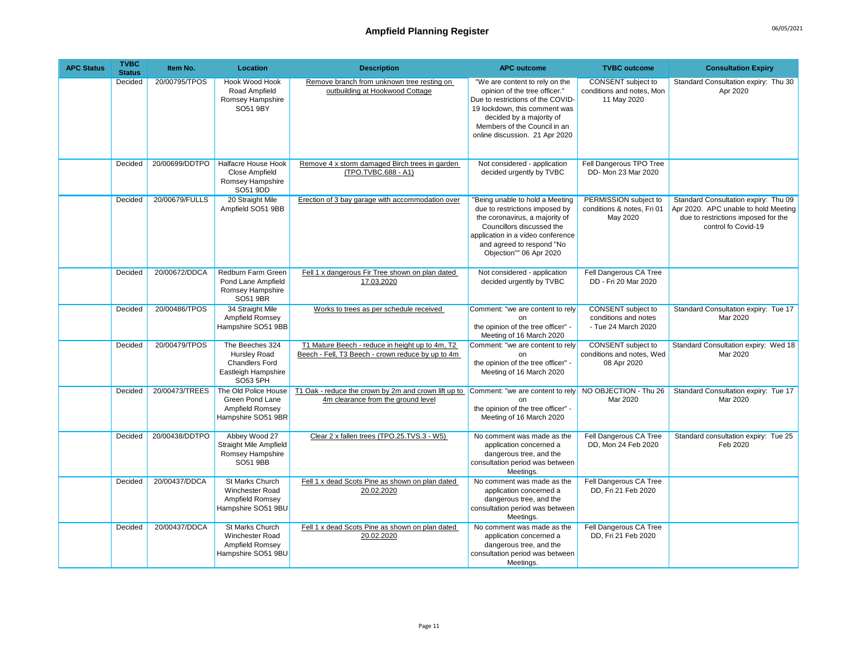| <b>APC Status</b> | <b>TVBC</b><br><b>Status</b> | Item No.       | Location                                                                                    | <b>Description</b>                                                                                   | <b>APC outcome</b>                                                                                                                                                                                                                  | <b>TVBC</b> outcome                                                      | <b>Consultation Expiry</b>                                                                                                                 |
|-------------------|------------------------------|----------------|---------------------------------------------------------------------------------------------|------------------------------------------------------------------------------------------------------|-------------------------------------------------------------------------------------------------------------------------------------------------------------------------------------------------------------------------------------|--------------------------------------------------------------------------|--------------------------------------------------------------------------------------------------------------------------------------------|
|                   | Decided                      | 20/00795/TPOS  | <b>Hook Wood Hook</b><br>Road Ampfield<br>Romsey Hampshire<br>SO51 9BY                      | Remove branch from unknown tree resting on<br>outbuilding at Hookwood Cottage                        | "We are content to rely on the<br>opinion of the tree officer."<br>Due to restrictions of the COVID-<br>19 lockdown, this comment was<br>decided by a majority of<br>Members of the Council in an<br>online discussion. 21 Apr 2020 | CONSENT subject to<br>conditions and notes, Mon<br>11 May 2020           | Standard Consultation expiry: Thu 30<br>Apr 2020                                                                                           |
|                   | Decided                      | 20/00699/DDTPO | Halfacre House Hook<br><b>Close Ampfield</b><br>Romsey Hampshire<br>SO51 9DD                | Remove 4 x storm damaged Birch trees in garden<br>(TPO.TVBC.688 - A1)                                | Not considered - application<br>decided urgently by TVBC                                                                                                                                                                            | Fell Dangerous TPO Tree<br>DD- Mon 23 Mar 2020                           |                                                                                                                                            |
|                   | Decided                      | 20/00679/FULLS | 20 Straight Mile<br>Ampfield SO51 9BB                                                       | Erection of 3 bay garage with accommodation over                                                     | "Being unable to hold a Meeting<br>due to restrictions imposed by<br>the coronavirus, a majority of<br>Councillors discussed the<br>application in a video conference<br>and agreed to respond "No<br>Objection"" 06 Apr 2020       | PERMISSION subject to<br>conditions & notes. Fri 01<br>May 2020          | Standard Consultation expiry: Thu 09<br>Apr 2020. APC unable to hold Meeting<br>due to restrictions imposed for the<br>control fo Covid-19 |
|                   | Decided                      | 20/00672/DDCA  | Redburn Farm Green<br>Pond Lane Ampfield<br>Romsey Hampshire<br>SO51 9BR                    | Fell 1 x dangerous Fir Tree shown on plan dated<br>17.03.2020                                        | Not considered - application<br>decided urgently by TVBC                                                                                                                                                                            | Fell Dangerous CA Tree<br>DD - Fri 20 Mar 2020                           |                                                                                                                                            |
|                   | Decided                      | 20/00486/TPOS  | 34 Straight Mile<br>Ampfield Romsey<br>Hampshire SO51 9BB                                   | Works to trees as per schedule received                                                              | Comment: "we are content to rely<br>on<br>the opinion of the tree officer" -<br>Meeting of 16 March 2020                                                                                                                            | <b>CONSENT</b> subject to<br>conditions and notes<br>- Tue 24 March 2020 | Standard Consultation expiry: Tue 17<br>Mar 2020                                                                                           |
|                   | Decided                      | 20/00479/TPOS  | The Beeches 324<br>Hursley Road<br><b>Chandlers Ford</b><br>Eastleigh Hampshire<br>SO53 5PH | T1 Mature Beech - reduce in height up to 4m, T2<br>Beech - Fell, T3 Beech - crown reduce by up to 4m | Comment: "we are content to rely<br>nn<br>the opinion of the tree officer" -<br>Meeting of 16 March 2020                                                                                                                            | CONSENT subject to<br>conditions and notes, Wed<br>08 Apr 2020           | Standard Consultation expiry: Wed 18<br>Mar 2020                                                                                           |
|                   | Decided                      | 20/00473/TREES | The Old Police House<br>Green Pond Lane<br>Ampfield Romsey<br>Hampshire SO51 9BR            | T1 Oak - reduce the crown by 2m and crown lift up to<br>4m clearance from the ground level           | Comment: "we are content to rely<br>on<br>the opinion of the tree officer" -<br>Meeting of 16 March 2020                                                                                                                            | NO OBJECTION - Thu 26<br>Mar 2020                                        | Standard Consultation expiry: Tue 17<br>Mar 2020                                                                                           |
|                   | Decided                      | 20/00438/DDTPO | Abbey Wood 27<br><b>Straight Mile Ampfield</b><br>Romsey Hampshire<br>SO51 9BB              | Clear 2 x fallen trees (TPO.25.TVS.3 - W5)                                                           | No comment was made as the<br>application concerned a<br>dangerous tree, and the<br>consultation period was between<br>Meetings.                                                                                                    | Fell Dangerous CA Tree<br>DD, Mon 24 Feb 2020                            | Standard consultation expiry: Tue 25<br>Feb 2020                                                                                           |
|                   | Decided                      | 20/00437/DDCA  | St Marks Church<br>Winchester Road<br>Ampfield Romsey<br>Hampshire SO51 9BU                 | Fell 1 x dead Scots Pine as shown on plan dated<br>20.02.2020                                        | No comment was made as the<br>application concerned a<br>dangerous tree, and the<br>consultation period was between<br>Meetings.                                                                                                    | Fell Dangerous CA Tree<br>DD, Fri 21 Feb 2020                            |                                                                                                                                            |
|                   | Decided                      | 20/00437/DDCA  | St Marks Church<br><b>Winchester Road</b><br>Ampfield Romsey<br>Hampshire SO51 9BU          | Fell 1 x dead Scots Pine as shown on plan dated<br>20.02.2020                                        | No comment was made as the<br>application concerned a<br>dangerous tree, and the<br>consultation period was between<br>Meetings.                                                                                                    | Fell Dangerous CA Tree<br>DD. Fri 21 Feb 2020                            |                                                                                                                                            |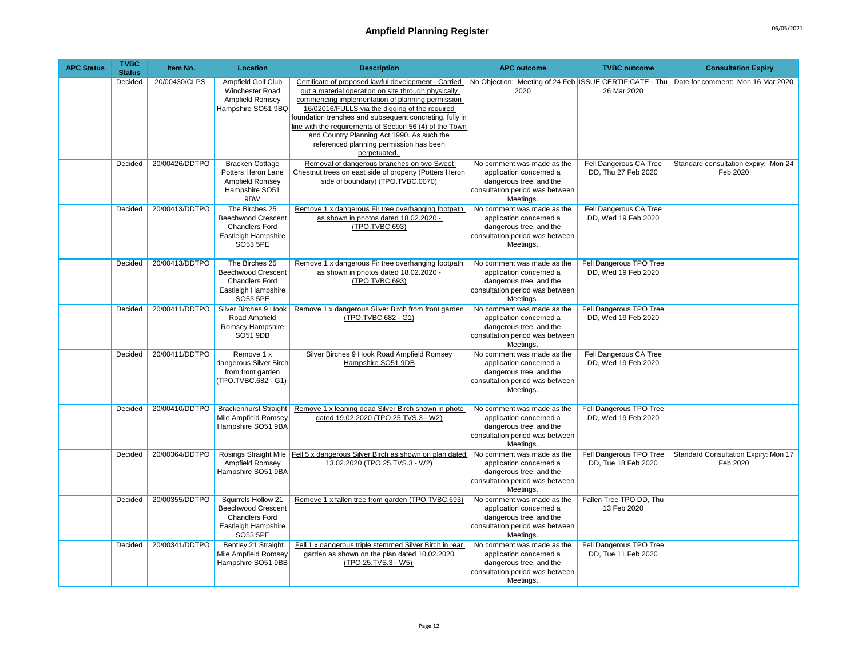## Ampfield Planning Register **Ampfield Planning Register 196/05/2021**

| <b>APC Status</b> | <b>TVBC</b><br><b>Status</b> | Item No.       | <b>Location</b>                                                                                         | <b>Description</b>                                                                                                                                                                                                                                                                                                                                                                                                                                | <b>APC outcome</b>                                                                                                               | <b>TVBC</b> outcome                            | <b>Consultation Expiry</b>                                                                |
|-------------------|------------------------------|----------------|---------------------------------------------------------------------------------------------------------|---------------------------------------------------------------------------------------------------------------------------------------------------------------------------------------------------------------------------------------------------------------------------------------------------------------------------------------------------------------------------------------------------------------------------------------------------|----------------------------------------------------------------------------------------------------------------------------------|------------------------------------------------|-------------------------------------------------------------------------------------------|
|                   | Decided                      | 20/00430/CLPS  | Ampfield Golf Club<br><b>Winchester Road</b><br>Ampfield Romsey<br>Hampshire SO51 9BQ                   | Certificate of proposed lawful development - Carried<br>out a material operation on site through physically<br>commencing implementation of planning permission<br>16/02016/FULLS via the digging of the required<br>foundation trenches and subsequent concreting, fully in<br>line with the requirements of Section 56 (4) of the Town<br>and Country Planning Act 1990. As such the<br>referenced planning permission has been<br>perpetuated. | 2020                                                                                                                             | 26 Mar 2020                                    | No Objection: Meeting of 24 Feb ISSUE CERTIFICATE - Thu Date for comment: Mon 16 Mar 2020 |
|                   | Decided                      | 20/00426/DDTPO | <b>Bracken Cottage</b><br>Potters Heron Lane<br>Ampfield Romsey<br>Hampshire SO51<br>9BW                | Removal of dangerous branches on two Sweet<br>Chestnut trees on east side of property (Potters Heron<br>side of boundary) (TPO.TVBC.0070)                                                                                                                                                                                                                                                                                                         | No comment was made as the<br>application concerned a<br>dangerous tree, and the<br>consultation period was between<br>Meetings. | Fell Dangerous CA Tree<br>DD. Thu 27 Feb 2020  | Standard consultation expiry: Mon 24<br>Feb 2020                                          |
|                   | Decided                      | 20/00413/DDTPO | The Birches 25<br><b>Beechwood Crescent</b><br><b>Chandlers Ford</b><br>Eastleigh Hampshire<br>SO53 5PE | Remove 1 x dangerous Fir tree overhanging footpath<br>as shown in photos dated 18.02.2020 -<br>(TPO.TVBC.693)                                                                                                                                                                                                                                                                                                                                     | No comment was made as the<br>application concerned a<br>dangerous tree, and the<br>consultation period was between<br>Meetings. | Fell Dangerous CA Tree<br>DD, Wed 19 Feb 2020  |                                                                                           |
|                   | Decided                      | 20/00413/DDTPO | The Birches 25<br><b>Beechwood Crescent</b><br><b>Chandlers Ford</b><br>Eastleigh Hampshire<br>SO53 5PE | Remove 1 x dangerous Fir tree overhanging footpath<br>as shown in photos dated 18.02.2020 -<br>(TPO.TVBC.693)                                                                                                                                                                                                                                                                                                                                     | No comment was made as the<br>application concerned a<br>dangerous tree, and the<br>consultation period was between<br>Meetings. | Fell Dangerous TPO Tree<br>DD, Wed 19 Feb 2020 |                                                                                           |
|                   | Decided                      | 20/00411/DDTPO | Silver Birches 9 Hook<br>Road Ampfield<br>Romsey Hampshire<br>SO51 9DB                                  | Remove 1 x dangerous Silver Birch from front garden<br>(TPO.TVBC.682 - G1)                                                                                                                                                                                                                                                                                                                                                                        | No comment was made as the<br>application concerned a<br>dangerous tree, and the<br>consultation period was between<br>Meetings. | Fell Dangerous TPO Tree<br>DD. Wed 19 Feb 2020 |                                                                                           |
|                   | Decided                      | 20/00411/DDTPO | Remove 1 x<br>dangerous Silver Birch<br>from front garden<br>(TPO.TVBC.682 - G1)                        | Silver Birches 9 Hook Road Ampfield Romsey<br>Hampshire SO51 9DB                                                                                                                                                                                                                                                                                                                                                                                  | No comment was made as the<br>application concerned a<br>dangerous tree, and the<br>consultation period was between<br>Meetings. | Fell Dangerous CA Tree<br>DD, Wed 19 Feb 2020  |                                                                                           |
|                   | Decided                      | 20/00410/DDTPO | <b>Brackenhurst Straight</b><br>Mile Ampfield Romsey<br>Hampshire SO51 9BA                              | Remove 1 x leaning dead Silver Birch shown in photo<br>dated 19.02.2020 (TPO.25.TVS.3 - W2)                                                                                                                                                                                                                                                                                                                                                       | No comment was made as the<br>application concerned a<br>dangerous tree, and the<br>consultation period was between<br>Meetings. | Fell Dangerous TPO Tree<br>DD. Wed 19 Feb 2020 |                                                                                           |
|                   | Decided                      | 20/00364/DDTPO | Rosings Straight Mile<br>Ampfield Romsey<br>Hampshire SO51 9BA                                          | Fell 5 x dangerous Silver Birch as shown on plan dated<br>13.02.2020 (TPO.25.TVS.3 - W2)                                                                                                                                                                                                                                                                                                                                                          | No comment was made as the<br>application concerned a<br>dangerous tree, and the<br>consultation period was between<br>Meetings. | Fell Dangerous TPO Tree<br>DD, Tue 18 Feb 2020 | Standard Consultation Expiry: Mon 17<br>Feb 2020                                          |
|                   | Decided                      | 20/00355/DDTPO | Squirrels Hollow 21<br><b>Beechwood Crescent</b><br>Chandlers Ford<br>Eastleigh Hampshire<br>SO53 5PE   | Remove 1 x fallen tree from garden (TPO.TVBC.693)                                                                                                                                                                                                                                                                                                                                                                                                 | No comment was made as the<br>application concerned a<br>dangerous tree, and the<br>consultation period was between<br>Meetings. | Fallen Tree TPO DD, Thu<br>13 Feb 2020         |                                                                                           |
|                   | Decided                      | 20/00341/DDTPO | Bentley 21 Straight<br>Mile Ampfield Romsey<br>Hampshire SO51 9BB                                       | Fell 1 x dangerous triple stemmed Silver Birch in rear<br>garden as shown on the plan dated 10.02.2020<br>(TPO.25.TVS.3 - W5)                                                                                                                                                                                                                                                                                                                     | No comment was made as the<br>application concerned a<br>dangerous tree, and the<br>consultation period was between<br>Meetings. | Fell Dangerous TPO Tree<br>DD, Tue 11 Feb 2020 |                                                                                           |